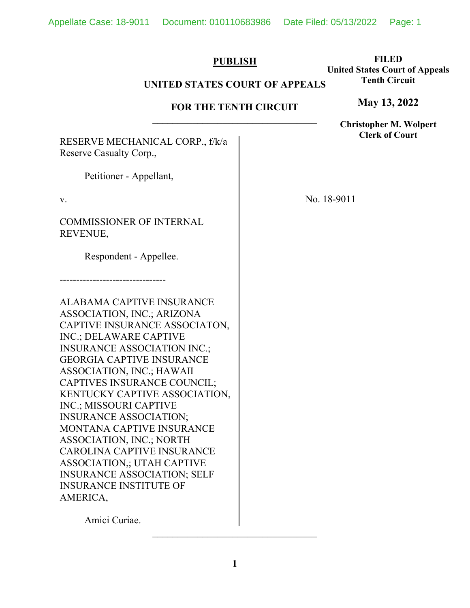\_\_\_\_\_\_\_\_\_\_\_\_\_\_\_\_\_\_\_\_\_\_\_\_\_\_\_\_\_\_\_\_\_

# **PUBLISH**

## **FILED United States Court of Appeals Tenth Circuit**

**May 13, 2022**

# **UNITED STATES COURT OF APPEALS**

## **FOR THE TENTH CIRCUIT**

\_\_\_\_\_\_\_\_\_\_\_\_\_\_\_\_\_\_\_\_\_\_\_\_\_\_\_\_\_\_\_\_\_ RESERVE MECHANICAL CORP., f/k/a Reserve Casualty Corp., Petitioner - Appellant, v. COMMISSIONER OF INTERNAL REVENUE, Respondent - Appellee. -------------------------------- ALABAMA CAPTIVE INSURANCE ASSOCIATION, INC.; ARIZONA CAPTIVE INSURANCE ASSOCIATON, INC.; DELAWARE CAPTIVE INSURANCE ASSOCIATION INC.; GEORGIA CAPTIVE INSURANCE ASSOCIATION, INC.; HAWAII CAPTIVES INSURANCE COUNCIL; KENTUCKY CAPTIVE ASSOCIATION, INC.; MISSOURI CAPTIVE INSURANCE ASSOCIATION; MONTANA CAPTIVE INSURANCE ASSOCIATION, INC.; NORTH CAROLINA CAPTIVE INSURANCE ASSOCIATION,; UTAH CAPTIVE INSURANCE ASSOCIATION; SELF INSURANCE INSTITUTE OF AMERICA, No. 18-9011 **Clerk of Court**

Amici Curiae.

**Christopher M. Wolpert**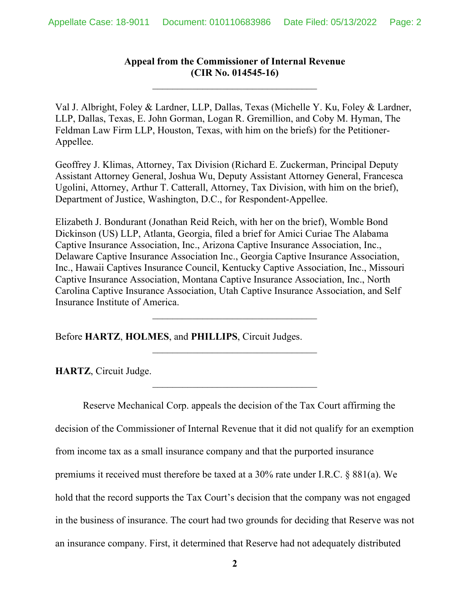# **Appeal from the Commissioner of Internal Revenue (CIR No. 014545-16)**

\_\_\_\_\_\_\_\_\_\_\_\_\_\_\_\_\_\_\_\_\_\_\_\_\_\_\_\_\_\_\_\_\_

Val J. Albright, Foley & Lardner, LLP, Dallas, Texas (Michelle Y. Ku, Foley & Lardner, LLP, Dallas, Texas, E. John Gorman, Logan R. Gremillion, and Coby M. Hyman, The Feldman Law Firm LLP, Houston, Texas, with him on the briefs) for the Petitioner-Appellee.

Geoffrey J. Klimas, Attorney, Tax Division (Richard E. Zuckerman, Principal Deputy Assistant Attorney General, Joshua Wu, Deputy Assistant Attorney General, Francesca Ugolini, Attorney, Arthur T. Catterall, Attorney, Tax Division, with him on the brief), Department of Justice, Washington, D.C., for Respondent-Appellee.

Elizabeth J. Bondurant (Jonathan Reid Reich, with her on the brief), Womble Bond Dickinson (US) LLP, Atlanta, Georgia, filed a brief for Amici Curiae The Alabama Captive Insurance Association, Inc., Arizona Captive Insurance Association, Inc., Delaware Captive Insurance Association Inc., Georgia Captive Insurance Association, Inc., Hawaii Captives Insurance Council, Kentucky Captive Association, Inc., Missouri Captive Insurance Association, Montana Captive Insurance Association, Inc., North Carolina Captive Insurance Association, Utah Captive Insurance Association, and Self Insurance Institute of America.

\_\_\_\_\_\_\_\_\_\_\_\_\_\_\_\_\_\_\_\_\_\_\_\_\_\_\_\_\_\_\_\_\_

 $\overline{\phantom{a}}$  , where  $\overline{\phantom{a}}$  , where  $\overline{\phantom{a}}$  ,  $\overline{\phantom{a}}$  ,  $\overline{\phantom{a}}$  ,  $\overline{\phantom{a}}$  ,  $\overline{\phantom{a}}$  ,  $\overline{\phantom{a}}$  ,  $\overline{\phantom{a}}$  ,  $\overline{\phantom{a}}$  ,  $\overline{\phantom{a}}$  ,  $\overline{\phantom{a}}$  ,  $\overline{\phantom{a}}$  ,  $\overline{\phantom{a}}$  ,  $\overline{\phantom{a}}$  ,

\_\_\_\_\_\_\_\_\_\_\_\_\_\_\_\_\_\_\_\_\_\_\_\_\_\_\_\_\_\_\_\_\_

Before **HARTZ**, **HOLMES**, and **PHILLIPS**, Circuit Judges.

**HARTZ**, Circuit Judge.

Reserve Mechanical Corp. appeals the decision of the Tax Court affirming the decision of the Commissioner of Internal Revenue that it did not qualify for an exemption from income tax as a small insurance company and that the purported insurance premiums it received must therefore be taxed at a 30% rate under I.R.C. § 881(a). We hold that the record supports the Tax Court's decision that the company was not engaged in the business of insurance. The court had two grounds for deciding that Reserve was not an insurance company. First, it determined that Reserve had not adequately distributed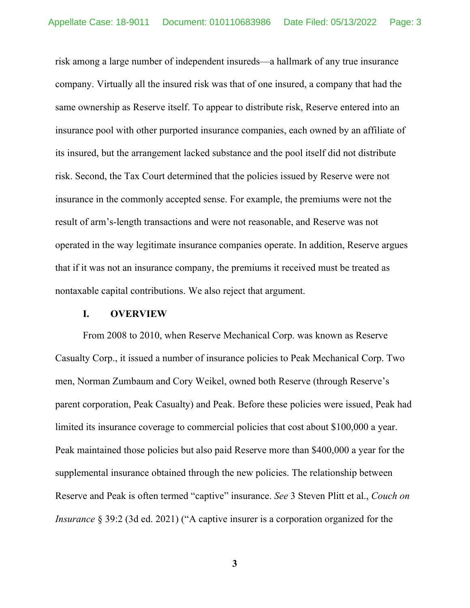risk among a large number of independent insureds—a hallmark of any true insurance company. Virtually all the insured risk was that of one insured, a company that had the same ownership as Reserve itself. To appear to distribute risk, Reserve entered into an insurance pool with other purported insurance companies, each owned by an affiliate of its insured, but the arrangement lacked substance and the pool itself did not distribute risk. Second, the Tax Court determined that the policies issued by Reserve were not insurance in the commonly accepted sense. For example, the premiums were not the result of arm's-length transactions and were not reasonable, and Reserve was not operated in the way legitimate insurance companies operate. In addition, Reserve argues that if it was not an insurance company, the premiums it received must be treated as nontaxable capital contributions. We also reject that argument.

### **I. OVERVIEW**

From 2008 to 2010, when Reserve Mechanical Corp. was known as Reserve Casualty Corp., it issued a number of insurance policies to Peak Mechanical Corp. Two men, Norman Zumbaum and Cory Weikel, owned both Reserve (through Reserve's parent corporation, Peak Casualty) and Peak. Before these policies were issued, Peak had limited its insurance coverage to commercial policies that cost about \$100,000 a year. Peak maintained those policies but also paid Reserve more than \$400,000 a year for the supplemental insurance obtained through the new policies. The relationship between Reserve and Peak is often termed "captive" insurance. *See* 3 Steven Plitt et al., *Couch on Insurance* § 39:2 (3d ed. 2021) ("A captive insurer is a corporation organized for the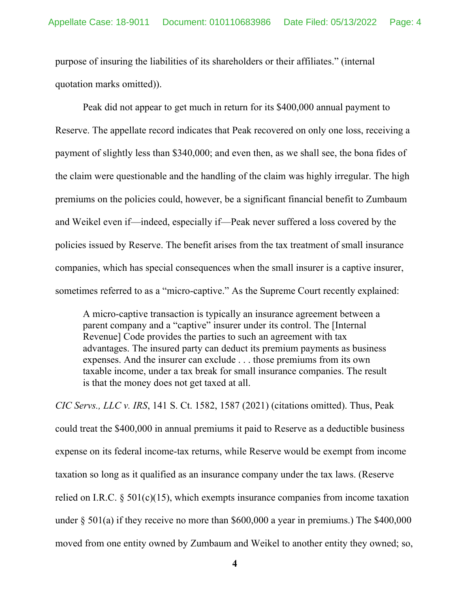purpose of insuring the liabilities of its shareholders or their affiliates." (internal quotation marks omitted)).

Peak did not appear to get much in return for its \$400,000 annual payment to Reserve. The appellate record indicates that Peak recovered on only one loss, receiving a payment of slightly less than \$340,000; and even then, as we shall see, the bona fides of the claim were questionable and the handling of the claim was highly irregular. The high premiums on the policies could, however, be a significant financial benefit to Zumbaum and Weikel even if—indeed, especially if—Peak never suffered a loss covered by the policies issued by Reserve. The benefit arises from the tax treatment of small insurance companies, which has special consequences when the small insurer is a captive insurer, sometimes referred to as a "micro-captive." As the Supreme Court recently explained:

A micro-captive transaction is typically an insurance agreement between a parent company and a "captive" insurer under its control. The [Internal Revenue] Code provides the parties to such an agreement with tax advantages. The insured party can deduct its premium payments as business expenses. And the insurer can exclude . . . those premiums from its own taxable income, under a tax break for small insurance companies. The result is that the money does not get taxed at all.

*CIC Servs., LLC v. IRS*, 141 S. Ct. 1582, 1587 (2021) (citations omitted). Thus, Peak could treat the \$400,000 in annual premiums it paid to Reserve as a deductible business expense on its federal income-tax returns, while Reserve would be exempt from income taxation so long as it qualified as an insurance company under the tax laws. (Reserve relied on I.R.C.  $\S 501(c)(15)$ , which exempts insurance companies from income taxation under § 501(a) if they receive no more than \$600,000 a year in premiums.) The \$400,000 moved from one entity owned by Zumbaum and Weikel to another entity they owned; so,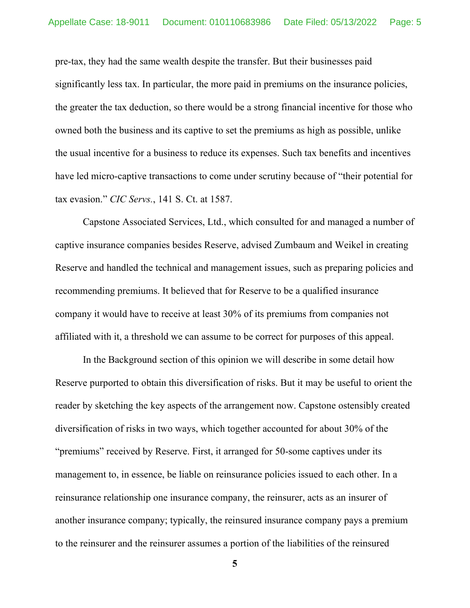pre-tax, they had the same wealth despite the transfer. But their businesses paid significantly less tax. In particular, the more paid in premiums on the insurance policies, the greater the tax deduction, so there would be a strong financial incentive for those who owned both the business and its captive to set the premiums as high as possible, unlike the usual incentive for a business to reduce its expenses. Such tax benefits and incentives have led micro-captive transactions to come under scrutiny because of "their potential for tax evasion." *CIC Servs.*, 141 S. Ct. at 1587.

Capstone Associated Services, Ltd., which consulted for and managed a number of captive insurance companies besides Reserve, advised Zumbaum and Weikel in creating Reserve and handled the technical and management issues, such as preparing policies and recommending premiums. It believed that for Reserve to be a qualified insurance company it would have to receive at least 30% of its premiums from companies not affiliated with it, a threshold we can assume to be correct for purposes of this appeal.

In the Background section of this opinion we will describe in some detail how Reserve purported to obtain this diversification of risks. But it may be useful to orient the reader by sketching the key aspects of the arrangement now. Capstone ostensibly created diversification of risks in two ways, which together accounted for about 30% of the "premiums" received by Reserve. First, it arranged for 50-some captives under its management to, in essence, be liable on reinsurance policies issued to each other. In a reinsurance relationship one insurance company, the reinsurer, acts as an insurer of another insurance company; typically, the reinsured insurance company pays a premium to the reinsurer and the reinsurer assumes a portion of the liabilities of the reinsured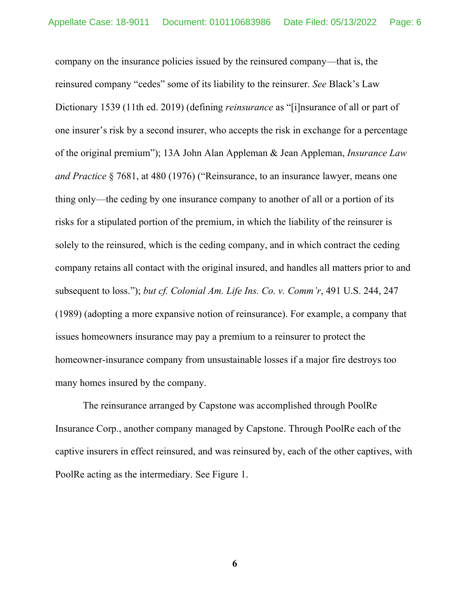company on the insurance policies issued by the reinsured company—that is, the reinsured company "cedes" some of its liability to the reinsurer. *See* Black's Law Dictionary 1539 (11th ed. 2019) (defining *reinsurance* as "[i]nsurance of all or part of one insurer's risk by a second insurer, who accepts the risk in exchange for a percentage of the original premium"); 13A John Alan Appleman & Jean Appleman, *Insurance Law and Practice* § 7681, at 480 (1976) ("Reinsurance, to an insurance lawyer, means one thing only—the ceding by one insurance company to another of all or a portion of its risks for a stipulated portion of the premium, in which the liability of the reinsurer is solely to the reinsured, which is the ceding company, and in which contract the ceding company retains all contact with the original insured, and handles all matters prior to and subsequent to loss."); *but cf. Colonial Am. Life Ins. Co. v. Comm'r*, 491 U.S. 244, 247 (1989) (adopting a more expansive notion of reinsurance). For example, a company that issues homeowners insurance may pay a premium to a reinsurer to protect the homeowner-insurance company from unsustainable losses if a major fire destroys too many homes insured by the company.

The reinsurance arranged by Capstone was accomplished through PoolRe Insurance Corp., another company managed by Capstone. Through PoolRe each of the captive insurers in effect reinsured, and was reinsured by, each of the other captives, with PoolRe acting as the intermediary. See Figure 1.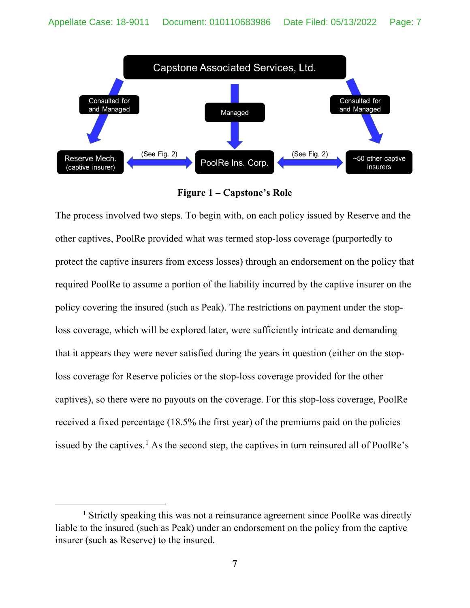

**Figure 1 – Capstone's Role**

The process involved two steps. To begin with, on each policy issued by Reserve and the other captives, PoolRe provided what was termed stop-loss coverage (purportedly to protect the captive insurers from excess losses) through an endorsement on the policy that required PoolRe to assume a portion of the liability incurred by the captive insurer on the policy covering the insured (such as Peak). The restrictions on payment under the stoploss coverage, which will be explored later, were sufficiently intricate and demanding that it appears they were never satisfied during the years in question (either on the stoploss coverage for Reserve policies or the stop-loss coverage provided for the other captives), so there were no payouts on the coverage. For this stop-loss coverage, PoolRe received a fixed percentage (18.5% the first year) of the premiums paid on the policies issued by the captives.<sup>[1](#page-6-0)</sup> As the second step, the captives in turn reinsured all of PoolRe's

<span id="page-6-0"></span><sup>&</sup>lt;sup>1</sup> Strictly speaking this was not a reinsurance agreement since PoolRe was directly liable to the insured (such as Peak) under an endorsement on the policy from the captive insurer (such as Reserve) to the insured.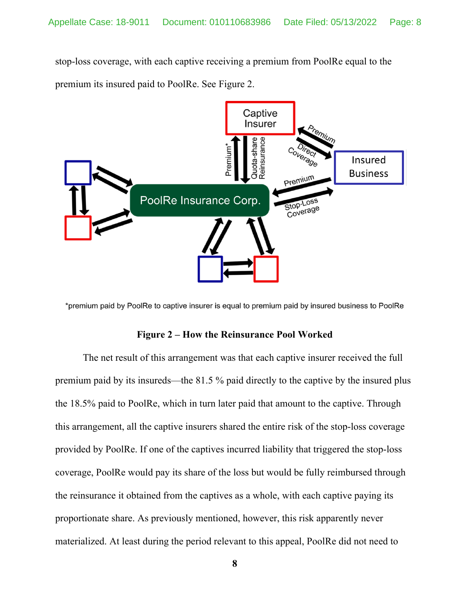stop-loss coverage, with each captive receiving a premium from PoolRe equal to the premium its insured paid to PoolRe. See Figure 2.



\*premium paid by PoolRe to captive insurer is equal to premium paid by insured business to PoolRe

### **Figure 2 – How the Reinsurance Pool Worked**

The net result of this arrangement was that each captive insurer received the full premium paid by its insureds—the 81.5 % paid directly to the captive by the insured plus the 18.5% paid to PoolRe, which in turn later paid that amount to the captive. Through this arrangement, all the captive insurers shared the entire risk of the stop-loss coverage provided by PoolRe. If one of the captives incurred liability that triggered the stop-loss coverage, PoolRe would pay its share of the loss but would be fully reimbursed through the reinsurance it obtained from the captives as a whole, with each captive paying its proportionate share. As previously mentioned, however, this risk apparently never materialized. At least during the period relevant to this appeal, PoolRe did not need to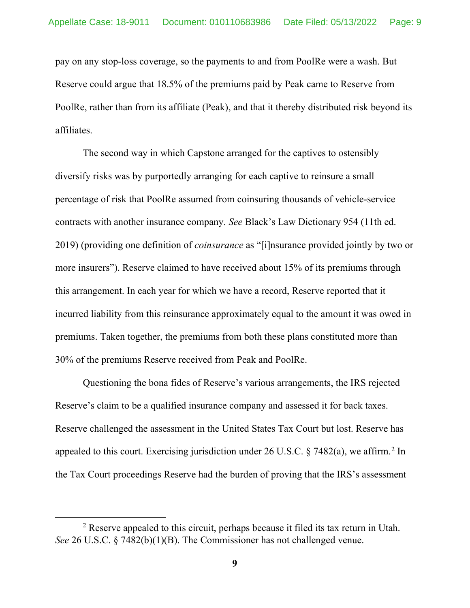pay on any stop-loss coverage, so the payments to and from PoolRe were a wash. But Reserve could argue that 18.5% of the premiums paid by Peak came to Reserve from PoolRe, rather than from its affiliate (Peak), and that it thereby distributed risk beyond its affiliates.

The second way in which Capstone arranged for the captives to ostensibly diversify risks was by purportedly arranging for each captive to reinsure a small percentage of risk that PoolRe assumed from coinsuring thousands of vehicle-service contracts with another insurance company. *See* Black's Law Dictionary 954 (11th ed. 2019) (providing one definition of *coinsurance* as "[i]nsurance provided jointly by two or more insurers"). Reserve claimed to have received about 15% of its premiums through this arrangement. In each year for which we have a record, Reserve reported that it incurred liability from this reinsurance approximately equal to the amount it was owed in premiums. Taken together, the premiums from both these plans constituted more than 30% of the premiums Reserve received from Peak and PoolRe.

Questioning the bona fides of Reserve's various arrangements, the IRS rejected Reserve's claim to be a qualified insurance company and assessed it for back taxes. Reserve challenged the assessment in the United States Tax Court but lost. Reserve has appealed to this court. Exercising jurisdiction under [2](#page-8-0)6 U.S.C.  $\S$  7482(a), we affirm.<sup>2</sup> In the Tax Court proceedings Reserve had the burden of proving that the IRS's assessment

<span id="page-8-0"></span><sup>2</sup> Reserve appealed to this circuit, perhaps because it filed its tax return in Utah. *See* 26 U.S.C. § 7482(b)(1)(B). The Commissioner has not challenged venue.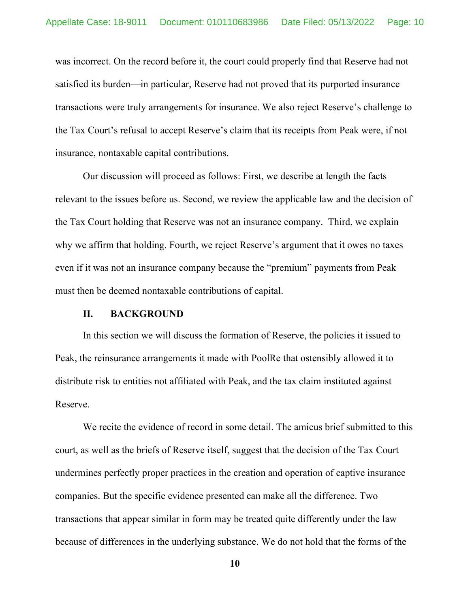was incorrect. On the record before it, the court could properly find that Reserve had not satisfied its burden—in particular, Reserve had not proved that its purported insurance transactions were truly arrangements for insurance. We also reject Reserve's challenge to the Tax Court's refusal to accept Reserve's claim that its receipts from Peak were, if not insurance, nontaxable capital contributions.

Our discussion will proceed as follows: First, we describe at length the facts relevant to the issues before us. Second, we review the applicable law and the decision of the Tax Court holding that Reserve was not an insurance company. Third, we explain why we affirm that holding. Fourth, we reject Reserve's argument that it owes no taxes even if it was not an insurance company because the "premium" payments from Peak must then be deemed nontaxable contributions of capital.

### **II. BACKGROUND**

In this section we will discuss the formation of Reserve, the policies it issued to Peak, the reinsurance arrangements it made with PoolRe that ostensibly allowed it to distribute risk to entities not affiliated with Peak, and the tax claim instituted against Reserve.

We recite the evidence of record in some detail. The amicus brief submitted to this court, as well as the briefs of Reserve itself, suggest that the decision of the Tax Court undermines perfectly proper practices in the creation and operation of captive insurance companies. But the specific evidence presented can make all the difference. Two transactions that appear similar in form may be treated quite differently under the law because of differences in the underlying substance. We do not hold that the forms of the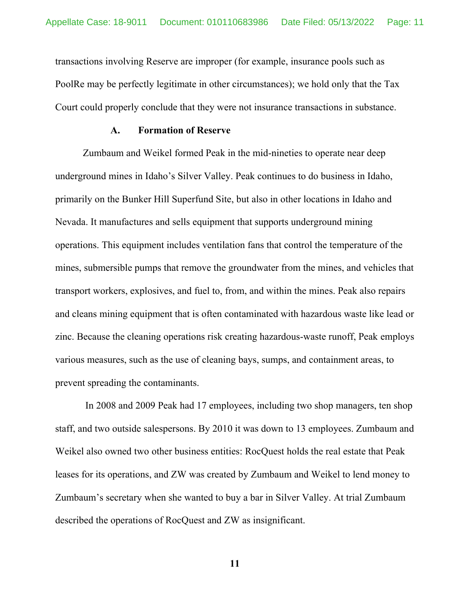transactions involving Reserve are improper (for example, insurance pools such as PoolRe may be perfectly legitimate in other circumstances); we hold only that the Tax Court could properly conclude that they were not insurance transactions in substance.

#### **A. Formation of Reserve**

Zumbaum and Weikel formed Peak in the mid-nineties to operate near deep underground mines in Idaho's Silver Valley. Peak continues to do business in Idaho, primarily on the Bunker Hill Superfund Site, but also in other locations in Idaho and Nevada. It manufactures and sells equipment that supports underground mining operations. This equipment includes ventilation fans that control the temperature of the mines, submersible pumps that remove the groundwater from the mines, and vehicles that transport workers, explosives, and fuel to, from, and within the mines. Peak also repairs and cleans mining equipment that is often contaminated with hazardous waste like lead or zinc. Because the cleaning operations risk creating hazardous-waste runoff, Peak employs various measures, such as the use of cleaning bays, sumps, and containment areas, to prevent spreading the contaminants.

In 2008 and 2009 Peak had 17 employees, including two shop managers, ten shop staff, and two outside salespersons. By 2010 it was down to 13 employees. Zumbaum and Weikel also owned two other business entities: RocQuest holds the real estate that Peak leases for its operations, and ZW was created by Zumbaum and Weikel to lend money to Zumbaum's secretary when she wanted to buy a bar in Silver Valley. At trial Zumbaum described the operations of RocQuest and ZW as insignificant.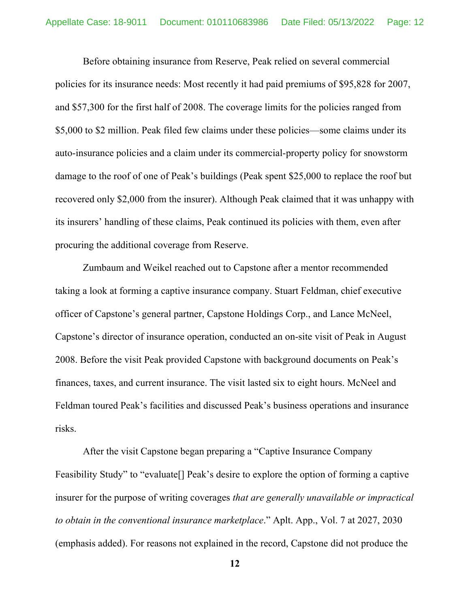Before obtaining insurance from Reserve, Peak relied on several commercial policies for its insurance needs: Most recently it had paid premiums of \$95,828 for 2007, and \$57,300 for the first half of 2008. The coverage limits for the policies ranged from \$5,000 to \$2 million. Peak filed few claims under these policies—some claims under its auto-insurance policies and a claim under its commercial-property policy for snowstorm damage to the roof of one of Peak's buildings (Peak spent \$25,000 to replace the roof but recovered only \$2,000 from the insurer). Although Peak claimed that it was unhappy with its insurers' handling of these claims, Peak continued its policies with them, even after procuring the additional coverage from Reserve.

Zumbaum and Weikel reached out to Capstone after a mentor recommended taking a look at forming a captive insurance company. Stuart Feldman, chief executive officer of Capstone's general partner, Capstone Holdings Corp., and Lance McNeel, Capstone's director of insurance operation, conducted an on-site visit of Peak in August 2008. Before the visit Peak provided Capstone with background documents on Peak's finances, taxes, and current insurance. The visit lasted six to eight hours. McNeel and Feldman toured Peak's facilities and discussed Peak's business operations and insurance risks.

After the visit Capstone began preparing a "Captive Insurance Company Feasibility Study" to "evaluate[] Peak's desire to explore the option of forming a captive insurer for the purpose of writing coverages *that are generally unavailable or impractical to obtain in the conventional insurance marketplace*." Aplt. App., Vol. 7 at 2027, 2030 (emphasis added). For reasons not explained in the record, Capstone did not produce the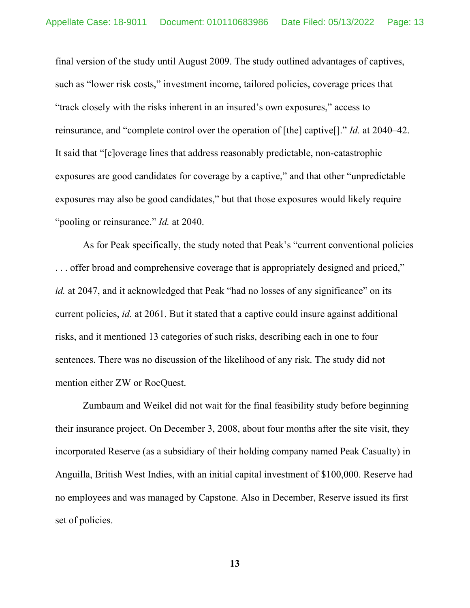final version of the study until August 2009. The study outlined advantages of captives, such as "lower risk costs," investment income, tailored policies, coverage prices that "track closely with the risks inherent in an insured's own exposures," access to reinsurance, and "complete control over the operation of [the] captive[]." *Id.* at 2040–42. It said that "[c]overage lines that address reasonably predictable, non-catastrophic exposures are good candidates for coverage by a captive," and that other "unpredictable exposures may also be good candidates," but that those exposures would likely require "pooling or reinsurance." *Id.* at 2040.

As for Peak specifically, the study noted that Peak's "current conventional policies . . . offer broad and comprehensive coverage that is appropriately designed and priced," *id.* at 2047, and it acknowledged that Peak "had no losses of any significance" on its current policies, *id.* at 2061. But it stated that a captive could insure against additional risks, and it mentioned 13 categories of such risks, describing each in one to four sentences. There was no discussion of the likelihood of any risk. The study did not mention either ZW or RocQuest.

Zumbaum and Weikel did not wait for the final feasibility study before beginning their insurance project. On December 3, 2008, about four months after the site visit, they incorporated Reserve (as a subsidiary of their holding company named Peak Casualty) in Anguilla, British West Indies, with an initial capital investment of \$100,000. Reserve had no employees and was managed by Capstone. Also in December, Reserve issued its first set of policies.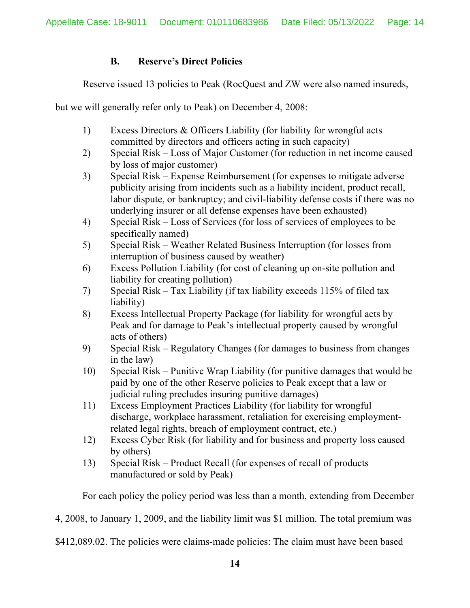# **B. Reserve's Direct Policies**

Reserve issued 13 policies to Peak (RocQuest and ZW were also named insureds,

but we will generally refer only to Peak) on December 4, 2008:

- 1) Excess Directors & Officers Liability (for liability for wrongful acts committed by directors and officers acting in such capacity)
- 2) Special Risk Loss of Major Customer (for reduction in net income caused by loss of major customer)
- 3) Special Risk Expense Reimbursement (for expenses to mitigate adverse publicity arising from incidents such as a liability incident, product recall, labor dispute, or bankruptcy; and civil-liability defense costs if there was no underlying insurer or all defense expenses have been exhausted)
- 4) Special Risk Loss of Services (for loss of services of employees to be specifically named)
- 5) Special Risk Weather Related Business Interruption (for losses from interruption of business caused by weather)
- 6) Excess Pollution Liability (for cost of cleaning up on-site pollution and liability for creating pollution)
- 7) Special Risk Tax Liability (if tax liability exceeds 115% of filed tax liability)
- 8) Excess Intellectual Property Package (for liability for wrongful acts by Peak and for damage to Peak's intellectual property caused by wrongful acts of others)
- 9) Special Risk Regulatory Changes (for damages to business from changes in the law)
- 10) Special Risk Punitive Wrap Liability (for punitive damages that would be paid by one of the other Reserve policies to Peak except that a law or judicial ruling precludes insuring punitive damages)
- 11) Excess Employment Practices Liability (for liability for wrongful discharge, workplace harassment, retaliation for exercising employmentrelated legal rights, breach of employment contract, etc.)
- 12) Excess Cyber Risk (for liability and for business and property loss caused by others)
- 13) Special Risk Product Recall (for expenses of recall of products manufactured or sold by Peak)

For each policy the policy period was less than a month, extending from December

4, 2008, to January 1, 2009, and the liability limit was \$1 million. The total premium was

\$412,089.02. The policies were claims-made policies: The claim must have been based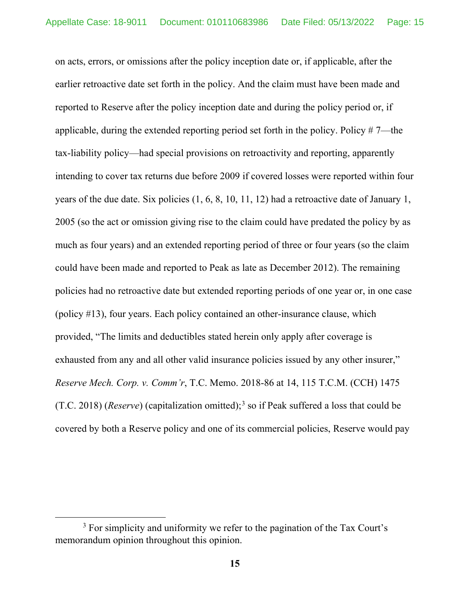on acts, errors, or omissions after the policy inception date or, if applicable, after the earlier retroactive date set forth in the policy. And the claim must have been made and reported to Reserve after the policy inception date and during the policy period or, if applicable, during the extended reporting period set forth in the policy. Policy # 7—the tax-liability policy—had special provisions on retroactivity and reporting, apparently intending to cover tax returns due before 2009 if covered losses were reported within four years of the due date. Six policies (1, 6, 8, 10, 11, 12) had a retroactive date of January 1, 2005 (so the act or omission giving rise to the claim could have predated the policy by as much as four years) and an extended reporting period of three or four years (so the claim could have been made and reported to Peak as late as December 2012). The remaining policies had no retroactive date but extended reporting periods of one year or, in one case (policy #13), four years. Each policy contained an other-insurance clause, which provided, "The limits and deductibles stated herein only apply after coverage is exhausted from any and all other valid insurance policies issued by any other insurer," *Reserve Mech. Corp. v. Comm'r*, T.C. Memo. 2018-86 at 14, 115 T.C.M. (CCH) 1475 (T.C. 2018) (*Reserve*) (capitalization omitted); [3](#page-14-0) so if Peak suffered a loss that could be covered by both a Reserve policy and one of its commercial policies, Reserve would pay

<span id="page-14-0"></span><sup>&</sup>lt;sup>3</sup> For simplicity and uniformity we refer to the pagination of the Tax Court's memorandum opinion throughout this opinion.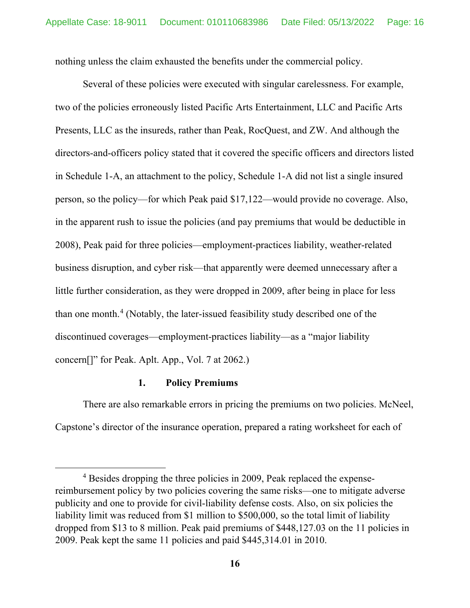nothing unless the claim exhausted the benefits under the commercial policy.

Several of these policies were executed with singular carelessness. For example, two of the policies erroneously listed Pacific Arts Entertainment, LLC and Pacific Arts Presents, LLC as the insureds, rather than Peak, RocQuest, and ZW. And although the directors-and-officers policy stated that it covered the specific officers and directors listed in Schedule 1-A, an attachment to the policy, Schedule 1-A did not list a single insured person, so the policy—for which Peak paid \$17,122—would provide no coverage. Also, in the apparent rush to issue the policies (and pay premiums that would be deductible in 2008), Peak paid for three policies—employment-practices liability, weather-related business disruption, and cyber risk—that apparently were deemed unnecessary after a little further consideration, as they were dropped in 2009, after being in place for less than one month.<sup>[4](#page-15-0)</sup> (Notably, the later-issued feasibility study described one of the discontinued coverages—employment-practices liability—as a "major liability concern[]" for Peak. Aplt. App., Vol. 7 at 2062.)

### **1. Policy Premiums**

There are also remarkable errors in pricing the premiums on two policies. McNeel, Capstone's director of the insurance operation, prepared a rating worksheet for each of

<span id="page-15-0"></span><sup>4</sup> Besides dropping the three policies in 2009, Peak replaced the expensereimbursement policy by two policies covering the same risks—one to mitigate adverse publicity and one to provide for civil-liability defense costs. Also, on six policies the liability limit was reduced from \$1 million to \$500,000, so the total limit of liability dropped from \$13 to 8 million. Peak paid premiums of \$448,127.03 on the 11 policies in 2009. Peak kept the same 11 policies and paid \$445,314.01 in 2010.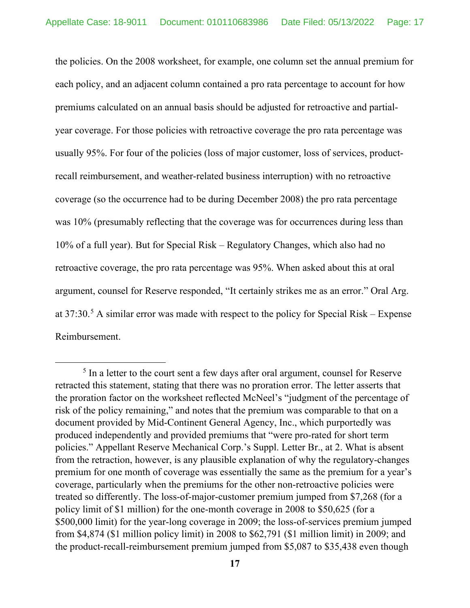the policies. On the 2008 worksheet, for example, one column set the annual premium for each policy, and an adjacent column contained a pro rata percentage to account for how premiums calculated on an annual basis should be adjusted for retroactive and partialyear coverage. For those policies with retroactive coverage the pro rata percentage was usually 95%. For four of the policies (loss of major customer, loss of services, productrecall reimbursement, and weather-related business interruption) with no retroactive coverage (so the occurrence had to be during December 2008) the pro rata percentage was 10% (presumably reflecting that the coverage was for occurrences during less than 10% of a full year). But for Special Risk – Regulatory Changes, which also had no retroactive coverage, the pro rata percentage was 95%. When asked about this at oral argument, counsel for Reserve responded, "It certainly strikes me as an error." Oral Arg. at  $37:30$ .<sup>[5](#page-16-0)</sup> A similar error was made with respect to the policy for Special Risk – Expense Reimbursement.

<span id="page-16-0"></span><sup>&</sup>lt;sup>5</sup> In a letter to the court sent a few days after oral argument, counsel for Reserve retracted this statement, stating that there was no proration error. The letter asserts that the proration factor on the worksheet reflected McNeel's "judgment of the percentage of risk of the policy remaining," and notes that the premium was comparable to that on a document provided by Mid-Continent General Agency, Inc., which purportedly was produced independently and provided premiums that "were pro-rated for short term policies." Appellant Reserve Mechanical Corp.'s Suppl. Letter Br., at 2. What is absent from the retraction, however, is any plausible explanation of why the regulatory-changes premium for one month of coverage was essentially the same as the premium for a year's coverage, particularly when the premiums for the other non-retroactive policies were treated so differently. The loss-of-major-customer premium jumped from \$7,268 (for a policy limit of \$1 million) for the one-month coverage in 2008 to \$50,625 (for a \$500,000 limit) for the year-long coverage in 2009; the loss-of-services premium jumped from \$4,874 (\$1 million policy limit) in 2008 to \$62,791 (\$1 million limit) in 2009; and the product-recall-reimbursement premium jumped from \$5,087 to \$35,438 even though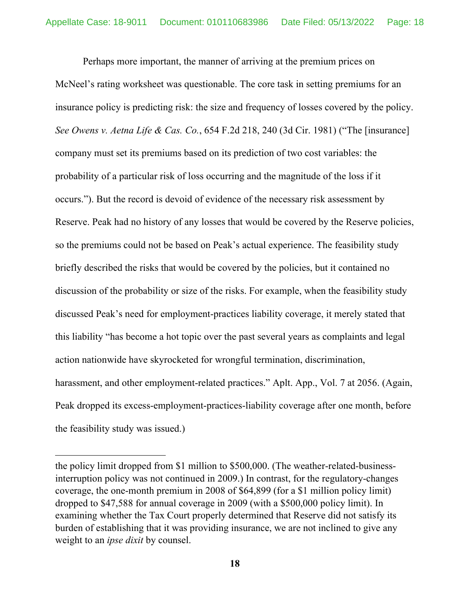Perhaps more important, the manner of arriving at the premium prices on McNeel's rating worksheet was questionable. The core task in setting premiums for an insurance policy is predicting risk: the size and frequency of losses covered by the policy. *See Owens v. Aetna Life & Cas. Co.*, 654 F.2d 218, 240 (3d Cir. 1981) ("The [insurance] company must set its premiums based on its prediction of two cost variables: the probability of a particular risk of loss occurring and the magnitude of the loss if it occurs."). But the record is devoid of evidence of the necessary risk assessment by Reserve. Peak had no history of any losses that would be covered by the Reserve policies, so the premiums could not be based on Peak's actual experience. The feasibility study briefly described the risks that would be covered by the policies, but it contained no discussion of the probability or size of the risks. For example, when the feasibility study discussed Peak's need for employment-practices liability coverage, it merely stated that this liability "has become a hot topic over the past several years as complaints and legal action nationwide have skyrocketed for wrongful termination, discrimination, harassment, and other employment-related practices." Aplt. App., Vol. 7 at 2056. (Again, Peak dropped its excess-employment-practices-liability coverage after one month, before the feasibility study was issued.)

the policy limit dropped from \$1 million to \$500,000. (The weather-related-businessinterruption policy was not continued in 2009.) In contrast, for the regulatory-changes coverage, the one-month premium in 2008 of \$64,899 (for a \$1 million policy limit) dropped to \$47,588 for annual coverage in 2009 (with a \$500,000 policy limit). In examining whether the Tax Court properly determined that Reserve did not satisfy its burden of establishing that it was providing insurance, we are not inclined to give any weight to an *ipse dixit* by counsel.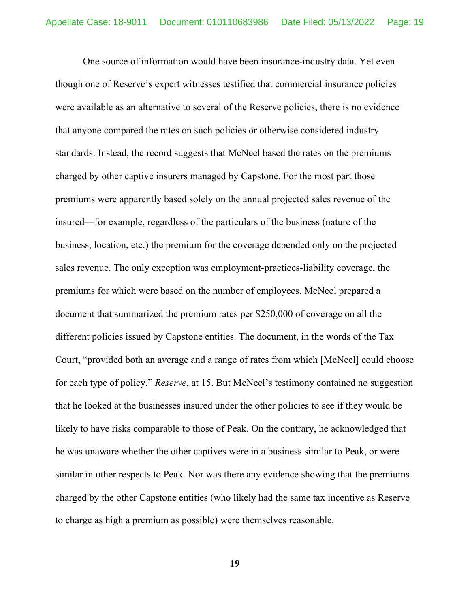One source of information would have been insurance-industry data. Yet even though one of Reserve's expert witnesses testified that commercial insurance policies were available as an alternative to several of the Reserve policies, there is no evidence that anyone compared the rates on such policies or otherwise considered industry standards. Instead, the record suggests that McNeel based the rates on the premiums charged by other captive insurers managed by Capstone. For the most part those premiums were apparently based solely on the annual projected sales revenue of the insured—for example, regardless of the particulars of the business (nature of the business, location, etc.) the premium for the coverage depended only on the projected sales revenue. The only exception was employment-practices-liability coverage, the premiums for which were based on the number of employees. McNeel prepared a document that summarized the premium rates per \$250,000 of coverage on all the different policies issued by Capstone entities. The document, in the words of the Tax Court, "provided both an average and a range of rates from which [McNeel] could choose for each type of policy." *Reserve*, at 15. But McNeel's testimony contained no suggestion that he looked at the businesses insured under the other policies to see if they would be likely to have risks comparable to those of Peak. On the contrary, he acknowledged that he was unaware whether the other captives were in a business similar to Peak, or were similar in other respects to Peak. Nor was there any evidence showing that the premiums charged by the other Capstone entities (who likely had the same tax incentive as Reserve to charge as high a premium as possible) were themselves reasonable.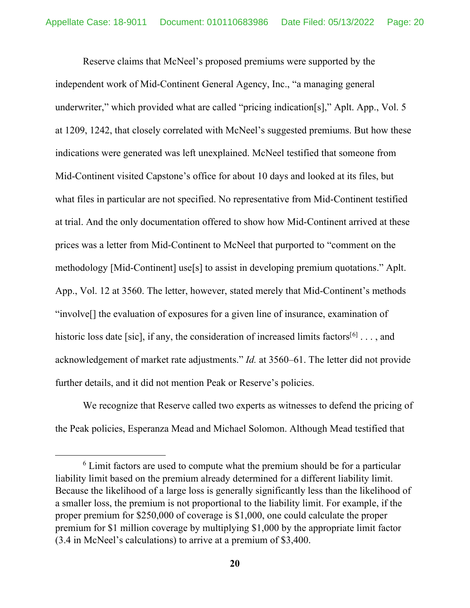Reserve claims that McNeel's proposed premiums were supported by the independent work of Mid-Continent General Agency, Inc., "a managing general underwriter," which provided what are called "pricing indication[s]," Aplt. App., Vol. 5 at 1209, 1242, that closely correlated with McNeel's suggested premiums. But how these indications were generated was left unexplained. McNeel testified that someone from Mid-Continent visited Capstone's office for about 10 days and looked at its files, but what files in particular are not specified. No representative from Mid-Continent testified at trial. And the only documentation offered to show how Mid-Continent arrived at these prices was a letter from Mid-Continent to McNeel that purported to "comment on the methodology [Mid-Continent] use[s] to assist in developing premium quotations." Aplt. App., Vol. 12 at 3560. The letter, however, stated merely that Mid-Continent's methods "involve[] the evaluation of exposures for a given line of insurance, examination of historic loss date [sic], if any, the consideration of increased limits factors<sup>[[6](#page-19-0)]</sup> . . . , and acknowledgement of market rate adjustments." *Id.* at 3560–61. The letter did not provide further details, and it did not mention Peak or Reserve's policies.

We recognize that Reserve called two experts as witnesses to defend the pricing of the Peak policies, Esperanza Mead and Michael Solomon. Although Mead testified that

<span id="page-19-0"></span> $6$  Limit factors are used to compute what the premium should be for a particular liability limit based on the premium already determined for a different liability limit. Because the likelihood of a large loss is generally significantly less than the likelihood of a smaller loss, the premium is not proportional to the liability limit. For example, if the proper premium for \$250,000 of coverage is \$1,000, one could calculate the proper premium for \$1 million coverage by multiplying \$1,000 by the appropriate limit factor (3.4 in McNeel's calculations) to arrive at a premium of \$3,400.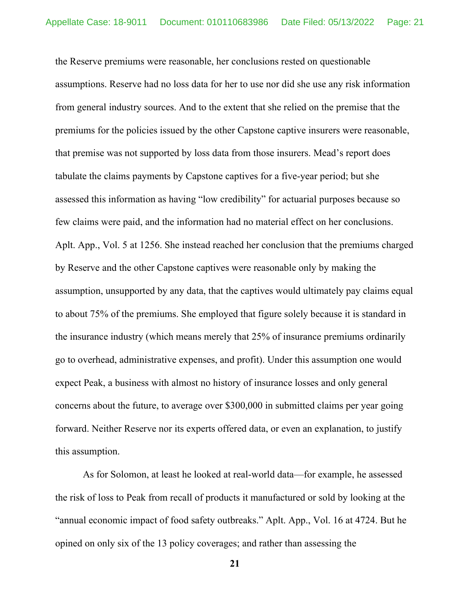the Reserve premiums were reasonable, her conclusions rested on questionable assumptions. Reserve had no loss data for her to use nor did she use any risk information from general industry sources. And to the extent that she relied on the premise that the premiums for the policies issued by the other Capstone captive insurers were reasonable, that premise was not supported by loss data from those insurers. Mead's report does tabulate the claims payments by Capstone captives for a five-year period; but she assessed this information as having "low credibility" for actuarial purposes because so few claims were paid, and the information had no material effect on her conclusions. Aplt. App., Vol. 5 at 1256. She instead reached her conclusion that the premiums charged by Reserve and the other Capstone captives were reasonable only by making the assumption, unsupported by any data, that the captives would ultimately pay claims equal to about 75% of the premiums. She employed that figure solely because it is standard in the insurance industry (which means merely that 25% of insurance premiums ordinarily go to overhead, administrative expenses, and profit). Under this assumption one would expect Peak, a business with almost no history of insurance losses and only general concerns about the future, to average over \$300,000 in submitted claims per year going forward. Neither Reserve nor its experts offered data, or even an explanation, to justify this assumption.

As for Solomon, at least he looked at real-world data—for example, he assessed the risk of loss to Peak from recall of products it manufactured or sold by looking at the "annual economic impact of food safety outbreaks." Aplt. App., Vol. 16 at 4724. But he opined on only six of the 13 policy coverages; and rather than assessing the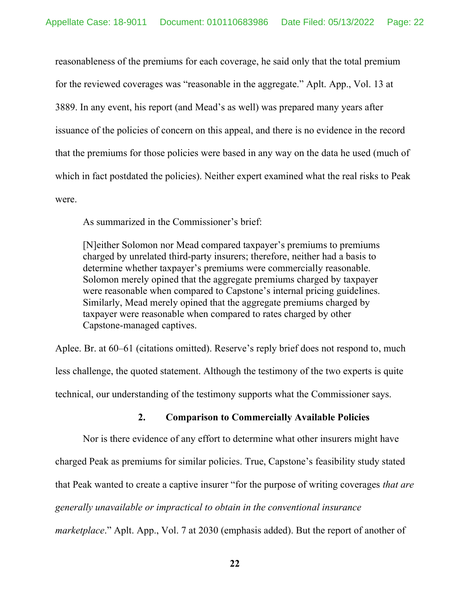reasonableness of the premiums for each coverage, he said only that the total premium for the reviewed coverages was "reasonable in the aggregate." Aplt. App., Vol. 13 at 3889. In any event, his report (and Mead's as well) was prepared many years after issuance of the policies of concern on this appeal, and there is no evidence in the record that the premiums for those policies were based in any way on the data he used (much of which in fact postdated the policies). Neither expert examined what the real risks to Peak were.

As summarized in the Commissioner's brief:

[N]either Solomon nor Mead compared taxpayer's premiums to premiums charged by unrelated third-party insurers; therefore, neither had a basis to determine whether taxpayer's premiums were commercially reasonable. Solomon merely opined that the aggregate premiums charged by taxpayer were reasonable when compared to Capstone's internal pricing guidelines. Similarly, Mead merely opined that the aggregate premiums charged by taxpayer were reasonable when compared to rates charged by other Capstone-managed captives.

Aplee. Br. at 60–61 (citations omitted). Reserve's reply brief does not respond to, much less challenge, the quoted statement. Although the testimony of the two experts is quite technical, our understanding of the testimony supports what the Commissioner says.

## **2. Comparison to Commercially Available Policies**

Nor is there evidence of any effort to determine what other insurers might have charged Peak as premiums for similar policies. True, Capstone's feasibility study stated that Peak wanted to create a captive insurer "for the purpose of writing coverages *that are generally unavailable or impractical to obtain in the conventional insurance marketplace*." Aplt. App., Vol. 7 at 2030 (emphasis added). But the report of another of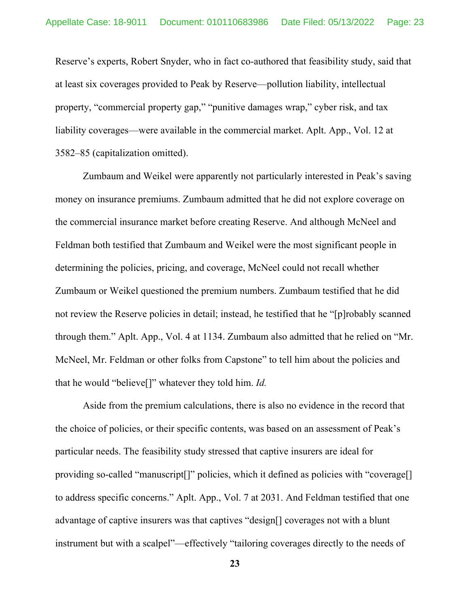Reserve's experts, Robert Snyder, who in fact co-authored that feasibility study, said that at least six coverages provided to Peak by Reserve—pollution liability, intellectual property, "commercial property gap," "punitive damages wrap," cyber risk, and tax liability coverages—were available in the commercial market. Aplt. App., Vol. 12 at 3582–85 (capitalization omitted).

Zumbaum and Weikel were apparently not particularly interested in Peak's saving money on insurance premiums. Zumbaum admitted that he did not explore coverage on the commercial insurance market before creating Reserve. And although McNeel and Feldman both testified that Zumbaum and Weikel were the most significant people in determining the policies, pricing, and coverage, McNeel could not recall whether Zumbaum or Weikel questioned the premium numbers. Zumbaum testified that he did not review the Reserve policies in detail; instead, he testified that he "[p]robably scanned through them." Aplt. App., Vol. 4 at 1134. Zumbaum also admitted that he relied on "Mr. McNeel, Mr. Feldman or other folks from Capstone" to tell him about the policies and that he would "believe[]" whatever they told him. *Id.*

Aside from the premium calculations, there is also no evidence in the record that the choice of policies, or their specific contents, was based on an assessment of Peak's particular needs. The feasibility study stressed that captive insurers are ideal for providing so-called "manuscript[]" policies, which it defined as policies with "coverage[] to address specific concerns." Aplt. App., Vol. 7 at 2031. And Feldman testified that one advantage of captive insurers was that captives "design[] coverages not with a blunt instrument but with a scalpel"—effectively "tailoring coverages directly to the needs of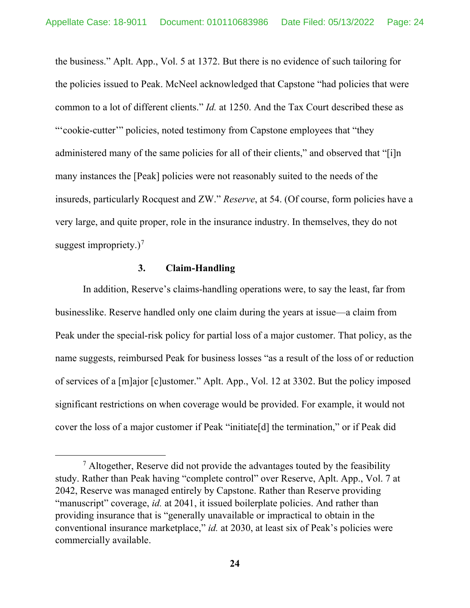the business." Aplt. App., Vol. 5 at 1372. But there is no evidence of such tailoring for the policies issued to Peak. McNeel acknowledged that Capstone "had policies that were common to a lot of different clients." *Id.* at 1250. And the Tax Court described these as "'cookie-cutter'" policies, noted testimony from Capstone employees that "they administered many of the same policies for all of their clients," and observed that "[i]n many instances the [Peak] policies were not reasonably suited to the needs of the insureds, particularly Rocquest and ZW." *Reserve*, at 54. (Of course, form policies have a very large, and quite proper, role in the insurance industry. In themselves, they do not suggest impropriety.)<sup>[7](#page-23-0)</sup>

## **3. Claim-Handling**

In addition, Reserve's claims-handling operations were, to say the least, far from businesslike. Reserve handled only one claim during the years at issue—a claim from Peak under the special-risk policy for partial loss of a major customer. That policy, as the name suggests, reimbursed Peak for business losses "as a result of the loss of or reduction of services of a [m]ajor [c]ustomer." Aplt. App., Vol. 12 at 3302. But the policy imposed significant restrictions on when coverage would be provided. For example, it would not cover the loss of a major customer if Peak "initiate[d] the termination," or if Peak did

<span id="page-23-0"></span> $7$  Altogether, Reserve did not provide the advantages touted by the feasibility study. Rather than Peak having "complete control" over Reserve, Aplt. App., Vol. 7 at 2042, Reserve was managed entirely by Capstone. Rather than Reserve providing "manuscript" coverage, *id.* at 2041, it issued boilerplate policies. And rather than providing insurance that is "generally unavailable or impractical to obtain in the conventional insurance marketplace," *id.* at 2030, at least six of Peak's policies were commercially available.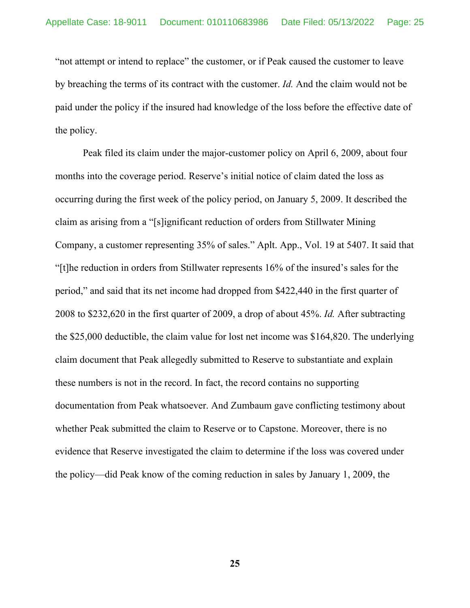"not attempt or intend to replace" the customer, or if Peak caused the customer to leave by breaching the terms of its contract with the customer. *Id.* And the claim would not be paid under the policy if the insured had knowledge of the loss before the effective date of the policy.

Peak filed its claim under the major-customer policy on April 6, 2009, about four months into the coverage period. Reserve's initial notice of claim dated the loss as occurring during the first week of the policy period, on January 5, 2009. It described the claim as arising from a "[s]ignificant reduction of orders from Stillwater Mining Company, a customer representing 35% of sales." Aplt. App., Vol. 19 at 5407. It said that "[t]he reduction in orders from Stillwater represents 16% of the insured's sales for the period," and said that its net income had dropped from \$422,440 in the first quarter of 2008 to \$232,620 in the first quarter of 2009, a drop of about 45%. *Id.* After subtracting the \$25,000 deductible, the claim value for lost net income was \$164,820. The underlying claim document that Peak allegedly submitted to Reserve to substantiate and explain these numbers is not in the record. In fact, the record contains no supporting documentation from Peak whatsoever. And Zumbaum gave conflicting testimony about whether Peak submitted the claim to Reserve or to Capstone. Moreover, there is no evidence that Reserve investigated the claim to determine if the loss was covered under the policy—did Peak know of the coming reduction in sales by January 1, 2009, the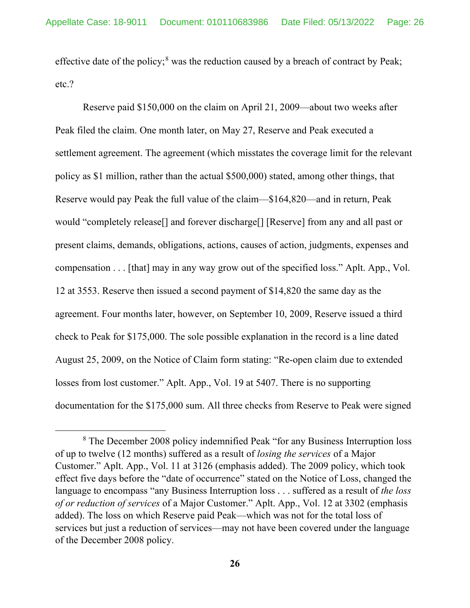effective date of the policy;<sup>[8](#page-25-0)</sup> was the reduction caused by a breach of contract by Peak; etc.?

Reserve paid \$150,000 on the claim on April 21, 2009—about two weeks after Peak filed the claim. One month later, on May 27, Reserve and Peak executed a settlement agreement. The agreement (which misstates the coverage limit for the relevant policy as \$1 million, rather than the actual \$500,000) stated, among other things, that Reserve would pay Peak the full value of the claim—\$164,820—and in return, Peak would "completely release[] and forever discharge[] [Reserve] from any and all past or present claims, demands, obligations, actions, causes of action, judgments, expenses and compensation . . . [that] may in any way grow out of the specified loss." Aplt. App., Vol. 12 at 3553. Reserve then issued a second payment of \$14,820 the same day as the agreement. Four months later, however, on September 10, 2009, Reserve issued a third check to Peak for \$175,000. The sole possible explanation in the record is a line dated August 25, 2009, on the Notice of Claim form stating: "Re-open claim due to extended losses from lost customer." Aplt. App., Vol. 19 at 5407. There is no supporting documentation for the \$175,000 sum. All three checks from Reserve to Peak were signed

<span id="page-25-0"></span><sup>8</sup> The December 2008 policy indemnified Peak "for any Business Interruption loss of up to twelve (12 months) suffered as a result of *losing the services* of a Major Customer." Aplt. App., Vol. 11 at 3126 (emphasis added). The 2009 policy, which took effect five days before the "date of occurrence" stated on the Notice of Loss, changed the language to encompass "any Business Interruption loss . . . suffered as a result of *the loss of or reduction of services* of a Major Customer." Aplt. App., Vol. 12 at 3302 (emphasis added). The loss on which Reserve paid Peak—which was not for the total loss of services but just a reduction of services—may not have been covered under the language of the December 2008 policy.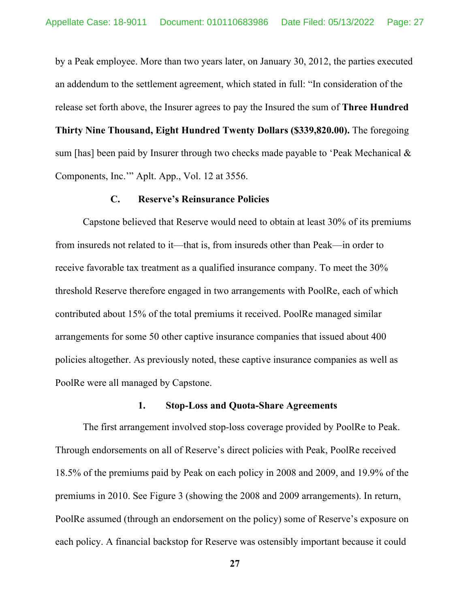by a Peak employee. More than two years later, on January 30, 2012, the parties executed an addendum to the settlement agreement, which stated in full: "In consideration of the release set forth above, the Insurer agrees to pay the Insured the sum of **Three Hundred Thirty Nine Thousand, Eight Hundred Twenty Dollars (\$339,820.00).** The foregoing sum [has] been paid by Insurer through two checks made payable to 'Peak Mechanical & Components, Inc.'" Aplt. App., Vol. 12 at 3556.

### **C. Reserve's Reinsurance Policies**

Capstone believed that Reserve would need to obtain at least 30% of its premiums from insureds not related to it—that is, from insureds other than Peak—in order to receive favorable tax treatment as a qualified insurance company. To meet the 30% threshold Reserve therefore engaged in two arrangements with PoolRe, each of which contributed about 15% of the total premiums it received. PoolRe managed similar arrangements for some 50 other captive insurance companies that issued about 400 policies altogether. As previously noted, these captive insurance companies as well as PoolRe were all managed by Capstone.

### **1. Stop-Loss and Quota-Share Agreements**

The first arrangement involved stop-loss coverage provided by PoolRe to Peak. Through endorsements on all of Reserve's direct policies with Peak, PoolRe received 18.5% of the premiums paid by Peak on each policy in 2008 and 2009, and 19.9% of the premiums in 2010. See Figure 3 (showing the 2008 and 2009 arrangements). In return, PoolRe assumed (through an endorsement on the policy) some of Reserve's exposure on each policy. A financial backstop for Reserve was ostensibly important because it could

**<sup>27</sup>**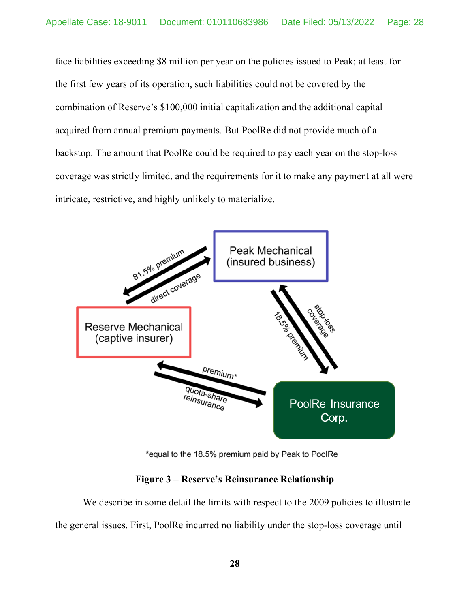face liabilities exceeding \$8 million per year on the policies issued to Peak; at least for the first few years of its operation, such liabilities could not be covered by the combination of Reserve's \$100,000 initial capitalization and the additional capital acquired from annual premium payments. But PoolRe did not provide much of a backstop. The amount that PoolRe could be required to pay each year on the stop-loss coverage was strictly limited, and the requirements for it to make any payment at all were intricate, restrictive, and highly unlikely to materialize.



\*equal to the 18.5% premium paid by Peak to PoolRe

# **Figure 3 – Reserve's Reinsurance Relationship**

We describe in some detail the limits with respect to the 2009 policies to illustrate the general issues. First, PoolRe incurred no liability under the stop-loss coverage until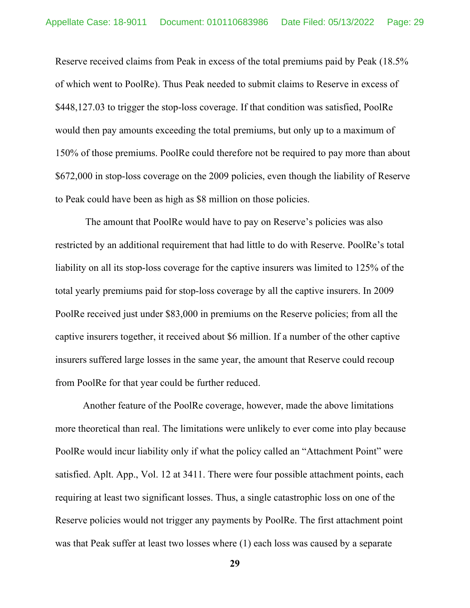Reserve received claims from Peak in excess of the total premiums paid by Peak (18.5% of which went to PoolRe). Thus Peak needed to submit claims to Reserve in excess of \$448,127.03 to trigger the stop-loss coverage. If that condition was satisfied, PoolRe would then pay amounts exceeding the total premiums, but only up to a maximum of 150% of those premiums. PoolRe could therefore not be required to pay more than about \$672,000 in stop-loss coverage on the 2009 policies, even though the liability of Reserve to Peak could have been as high as \$8 million on those policies.

The amount that PoolRe would have to pay on Reserve's policies was also restricted by an additional requirement that had little to do with Reserve. PoolRe's total liability on all its stop-loss coverage for the captive insurers was limited to 125% of the total yearly premiums paid for stop-loss coverage by all the captive insurers. In 2009 PoolRe received just under \$83,000 in premiums on the Reserve policies; from all the captive insurers together, it received about \$6 million. If a number of the other captive insurers suffered large losses in the same year, the amount that Reserve could recoup from PoolRe for that year could be further reduced.

Another feature of the PoolRe coverage, however, made the above limitations more theoretical than real. The limitations were unlikely to ever come into play because PoolRe would incur liability only if what the policy called an "Attachment Point" were satisfied. Aplt. App., Vol. 12 at 3411. There were four possible attachment points, each requiring at least two significant losses. Thus, a single catastrophic loss on one of the Reserve policies would not trigger any payments by PoolRe. The first attachment point was that Peak suffer at least two losses where (1) each loss was caused by a separate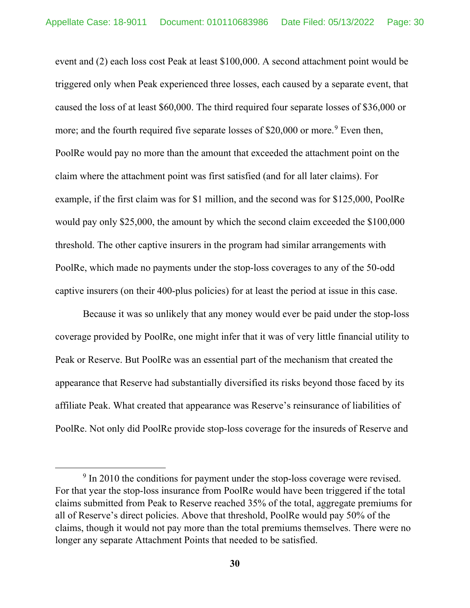event and (2) each loss cost Peak at least \$100,000. A second attachment point would be triggered only when Peak experienced three losses, each caused by a separate event, that caused the loss of at least \$60,000. The third required four separate losses of \$36,000 or more; and the fourth required five separate losses of \$20,000 or more.<sup>[9](#page-29-0)</sup> Even then, PoolRe would pay no more than the amount that exceeded the attachment point on the claim where the attachment point was first satisfied (and for all later claims). For example, if the first claim was for \$1 million, and the second was for \$125,000, PoolRe would pay only \$25,000, the amount by which the second claim exceeded the \$100,000 threshold. The other captive insurers in the program had similar arrangements with PoolRe, which made no payments under the stop-loss coverages to any of the 50-odd captive insurers (on their 400-plus policies) for at least the period at issue in this case.

Because it was so unlikely that any money would ever be paid under the stop-loss coverage provided by PoolRe, one might infer that it was of very little financial utility to Peak or Reserve. But PoolRe was an essential part of the mechanism that created the appearance that Reserve had substantially diversified its risks beyond those faced by its affiliate Peak. What created that appearance was Reserve's reinsurance of liabilities of PoolRe. Not only did PoolRe provide stop-loss coverage for the insureds of Reserve and

<span id="page-29-0"></span><sup>&</sup>lt;sup>9</sup> In 2010 the conditions for payment under the stop-loss coverage were revised. For that year the stop-loss insurance from PoolRe would have been triggered if the total claims submitted from Peak to Reserve reached 35% of the total, aggregate premiums for all of Reserve's direct policies. Above that threshold, PoolRe would pay 50% of the claims, though it would not pay more than the total premiums themselves. There were no longer any separate Attachment Points that needed to be satisfied.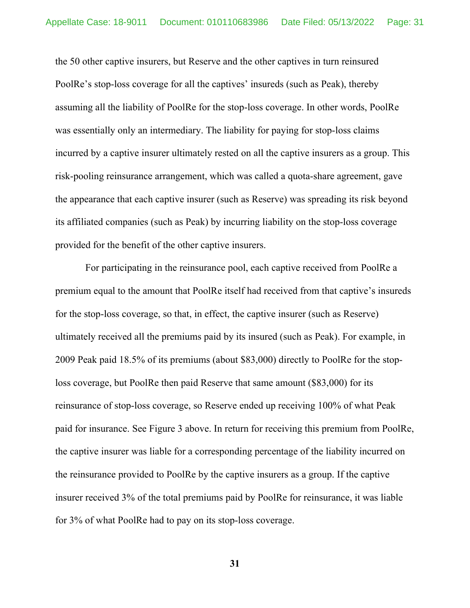the 50 other captive insurers, but Reserve and the other captives in turn reinsured PoolRe's stop-loss coverage for all the captives' insureds (such as Peak), thereby assuming all the liability of PoolRe for the stop-loss coverage. In other words, PoolRe was essentially only an intermediary. The liability for paying for stop-loss claims incurred by a captive insurer ultimately rested on all the captive insurers as a group. This risk-pooling reinsurance arrangement, which was called a quota-share agreement, gave the appearance that each captive insurer (such as Reserve) was spreading its risk beyond its affiliated companies (such as Peak) by incurring liability on the stop-loss coverage provided for the benefit of the other captive insurers.

For participating in the reinsurance pool, each captive received from PoolRe a premium equal to the amount that PoolRe itself had received from that captive's insureds for the stop-loss coverage, so that, in effect, the captive insurer (such as Reserve) ultimately received all the premiums paid by its insured (such as Peak). For example, in 2009 Peak paid 18.5% of its premiums (about \$83,000) directly to PoolRe for the stoploss coverage, but PoolRe then paid Reserve that same amount (\$83,000) for its reinsurance of stop-loss coverage, so Reserve ended up receiving 100% of what Peak paid for insurance. See Figure 3 above. In return for receiving this premium from PoolRe, the captive insurer was liable for a corresponding percentage of the liability incurred on the reinsurance provided to PoolRe by the captive insurers as a group. If the captive insurer received 3% of the total premiums paid by PoolRe for reinsurance, it was liable for 3% of what PoolRe had to pay on its stop-loss coverage.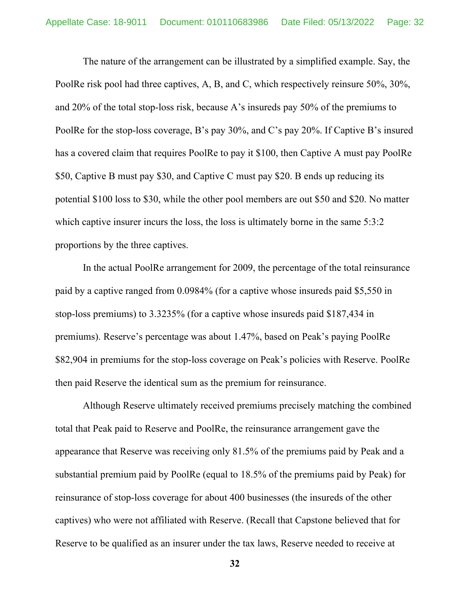The nature of the arrangement can be illustrated by a simplified example. Say, the PoolRe risk pool had three captives, A, B, and C, which respectively reinsure 50%, 30%, and 20% of the total stop-loss risk, because A's insureds pay 50% of the premiums to PoolRe for the stop-loss coverage, B's pay 30%, and C's pay 20%. If Captive B's insured has a covered claim that requires PoolRe to pay it \$100, then Captive A must pay PoolRe \$50, Captive B must pay \$30, and Captive C must pay \$20. B ends up reducing its potential \$100 loss to \$30, while the other pool members are out \$50 and \$20. No matter which captive insurer incurs the loss, the loss is ultimately borne in the same 5:3:2 proportions by the three captives.

In the actual PoolRe arrangement for 2009, the percentage of the total reinsurance paid by a captive ranged from 0.0984% (for a captive whose insureds paid \$5,550 in stop-loss premiums) to 3.3235% (for a captive whose insureds paid \$187,434 in premiums). Reserve's percentage was about 1.47%, based on Peak's paying PoolRe \$82,904 in premiums for the stop-loss coverage on Peak's policies with Reserve. PoolRe then paid Reserve the identical sum as the premium for reinsurance.

Although Reserve ultimately received premiums precisely matching the combined total that Peak paid to Reserve and PoolRe, the reinsurance arrangement gave the appearance that Reserve was receiving only 81.5% of the premiums paid by Peak and a substantial premium paid by PoolRe (equal to 18.5% of the premiums paid by Peak) for reinsurance of stop-loss coverage for about 400 businesses (the insureds of the other captives) who were not affiliated with Reserve. (Recall that Capstone believed that for Reserve to be qualified as an insurer under the tax laws, Reserve needed to receive at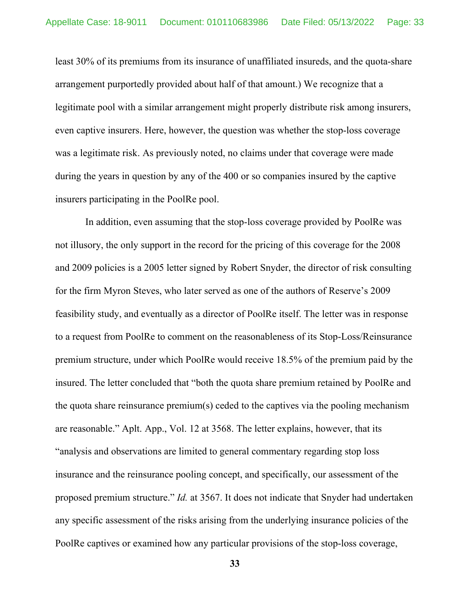least 30% of its premiums from its insurance of unaffiliated insureds, and the quota-share arrangement purportedly provided about half of that amount.) We recognize that a legitimate pool with a similar arrangement might properly distribute risk among insurers, even captive insurers. Here, however, the question was whether the stop-loss coverage was a legitimate risk. As previously noted, no claims under that coverage were made during the years in question by any of the 400 or so companies insured by the captive insurers participating in the PoolRe pool.

In addition, even assuming that the stop-loss coverage provided by PoolRe was not illusory, the only support in the record for the pricing of this coverage for the 2008 and 2009 policies is a 2005 letter signed by Robert Snyder, the director of risk consulting for the firm Myron Steves, who later served as one of the authors of Reserve's 2009 feasibility study, and eventually as a director of PoolRe itself. The letter was in response to a request from PoolRe to comment on the reasonableness of its Stop-Loss/Reinsurance premium structure, under which PoolRe would receive 18.5% of the premium paid by the insured. The letter concluded that "both the quota share premium retained by PoolRe and the quota share reinsurance premium(s) ceded to the captives via the pooling mechanism are reasonable." Aplt. App., Vol. 12 at 3568. The letter explains, however, that its "analysis and observations are limited to general commentary regarding stop loss insurance and the reinsurance pooling concept, and specifically, our assessment of the proposed premium structure." *Id.* at 3567. It does not indicate that Snyder had undertaken any specific assessment of the risks arising from the underlying insurance policies of the PoolRe captives or examined how any particular provisions of the stop-loss coverage,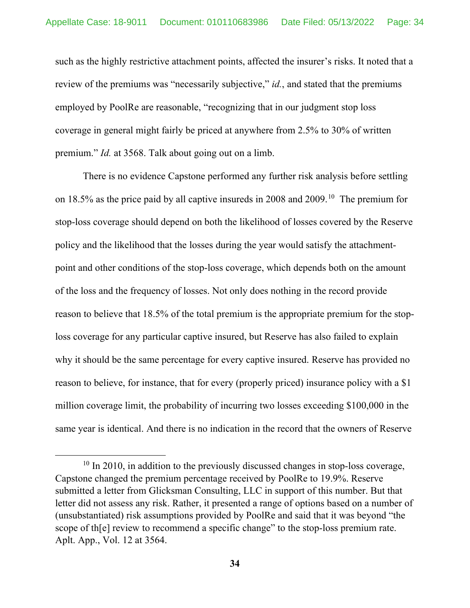such as the highly restrictive attachment points, affected the insurer's risks. It noted that a review of the premiums was "necessarily subjective," *id.*, and stated that the premiums employed by PoolRe are reasonable, "recognizing that in our judgment stop loss coverage in general might fairly be priced at anywhere from 2.5% to 30% of written premium." *Id.* at 3568. Talk about going out on a limb.

There is no evidence Capstone performed any further risk analysis before settling on 18.5% as the price paid by all captive insureds in 2008 and 2009. [10](#page-33-0) The premium for stop-loss coverage should depend on both the likelihood of losses covered by the Reserve policy and the likelihood that the losses during the year would satisfy the attachmentpoint and other conditions of the stop-loss coverage, which depends both on the amount of the loss and the frequency of losses. Not only does nothing in the record provide reason to believe that 18.5% of the total premium is the appropriate premium for the stoploss coverage for any particular captive insured, but Reserve has also failed to explain why it should be the same percentage for every captive insured. Reserve has provided no reason to believe, for instance, that for every (properly priced) insurance policy with a \$1 million coverage limit, the probability of incurring two losses exceeding \$100,000 in the same year is identical. And there is no indication in the record that the owners of Reserve

<span id="page-33-0"></span> $10$  In 2010, in addition to the previously discussed changes in stop-loss coverage, Capstone changed the premium percentage received by PoolRe to 19.9%. Reserve submitted a letter from Glicksman Consulting, LLC in support of this number. But that letter did not assess any risk. Rather, it presented a range of options based on a number of (unsubstantiated) risk assumptions provided by PoolRe and said that it was beyond "the scope of the review to recommend a specific change" to the stop-loss premium rate. Aplt. App., Vol. 12 at 3564.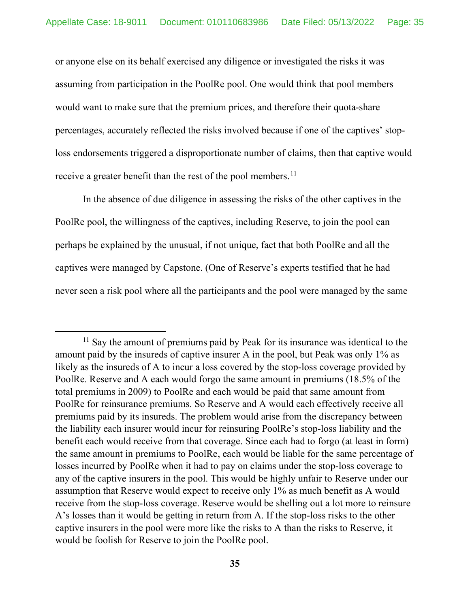or anyone else on its behalf exercised any diligence or investigated the risks it was assuming from participation in the PoolRe pool. One would think that pool members would want to make sure that the premium prices, and therefore their quota-share percentages, accurately reflected the risks involved because if one of the captives' stoploss endorsements triggered a disproportionate number of claims, then that captive would receive a greater benefit than the rest of the pool members.<sup>[11](#page-34-0)</sup>

In the absence of due diligence in assessing the risks of the other captives in the PoolRe pool, the willingness of the captives, including Reserve, to join the pool can perhaps be explained by the unusual, if not unique, fact that both PoolRe and all the captives were managed by Capstone. (One of Reserve's experts testified that he had never seen a risk pool where all the participants and the pool were managed by the same

<span id="page-34-0"></span> $11$  Say the amount of premiums paid by Peak for its insurance was identical to the amount paid by the insureds of captive insurer A in the pool, but Peak was only 1% as likely as the insureds of A to incur a loss covered by the stop-loss coverage provided by PoolRe. Reserve and A each would forgo the same amount in premiums (18.5% of the total premiums in 2009) to PoolRe and each would be paid that same amount from PoolRe for reinsurance premiums. So Reserve and A would each effectively receive all premiums paid by its insureds. The problem would arise from the discrepancy between the liability each insurer would incur for reinsuring PoolRe's stop-loss liability and the benefit each would receive from that coverage. Since each had to forgo (at least in form) the same amount in premiums to PoolRe, each would be liable for the same percentage of losses incurred by PoolRe when it had to pay on claims under the stop-loss coverage to any of the captive insurers in the pool. This would be highly unfair to Reserve under our assumption that Reserve would expect to receive only 1% as much benefit as A would receive from the stop-loss coverage. Reserve would be shelling out a lot more to reinsure A's losses than it would be getting in return from A. If the stop-loss risks to the other captive insurers in the pool were more like the risks to A than the risks to Reserve, it would be foolish for Reserve to join the PoolRe pool.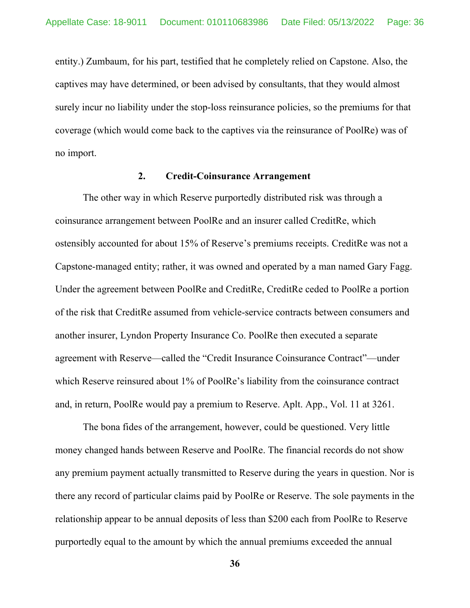entity.) Zumbaum, for his part, testified that he completely relied on Capstone. Also, the captives may have determined, or been advised by consultants, that they would almost surely incur no liability under the stop-loss reinsurance policies, so the premiums for that coverage (which would come back to the captives via the reinsurance of PoolRe) was of no import.

### **2. Credit-Coinsurance Arrangement**

The other way in which Reserve purportedly distributed risk was through a coinsurance arrangement between PoolRe and an insurer called CreditRe, which ostensibly accounted for about 15% of Reserve's premiums receipts. CreditRe was not a Capstone-managed entity; rather, it was owned and operated by a man named Gary Fagg. Under the agreement between PoolRe and CreditRe, CreditRe ceded to PoolRe a portion of the risk that CreditRe assumed from vehicle-service contracts between consumers and another insurer, Lyndon Property Insurance Co. PoolRe then executed a separate agreement with Reserve—called the "Credit Insurance Coinsurance Contract"—under which Reserve reinsured about 1% of PoolRe's liability from the coinsurance contract and, in return, PoolRe would pay a premium to Reserve. Aplt. App., Vol. 11 at 3261.

The bona fides of the arrangement, however, could be questioned. Very little money changed hands between Reserve and PoolRe. The financial records do not show any premium payment actually transmitted to Reserve during the years in question. Nor is there any record of particular claims paid by PoolRe or Reserve. The sole payments in the relationship appear to be annual deposits of less than \$200 each from PoolRe to Reserve purportedly equal to the amount by which the annual premiums exceeded the annual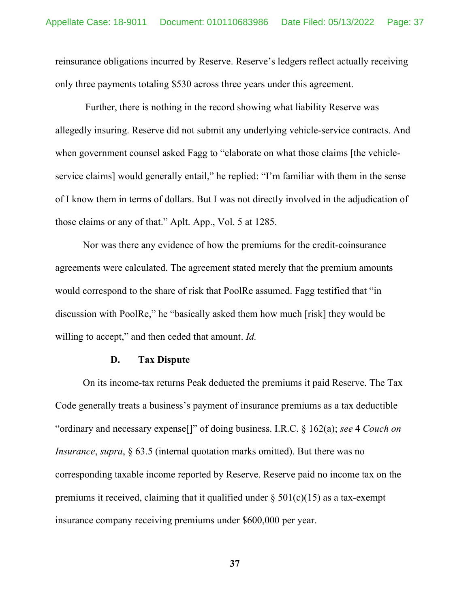reinsurance obligations incurred by Reserve. Reserve's ledgers reflect actually receiving only three payments totaling \$530 across three years under this agreement.

Further, there is nothing in the record showing what liability Reserve was allegedly insuring. Reserve did not submit any underlying vehicle-service contracts. And when government counsel asked Fagg to "elaborate on what those claims [the vehicleservice claims] would generally entail," he replied: "I'm familiar with them in the sense of I know them in terms of dollars. But I was not directly involved in the adjudication of those claims or any of that." Aplt. App., Vol. 5 at 1285.

Nor was there any evidence of how the premiums for the credit-coinsurance agreements were calculated. The agreement stated merely that the premium amounts would correspond to the share of risk that PoolRe assumed. Fagg testified that "in discussion with PoolRe," he "basically asked them how much [risk] they would be willing to accept," and then ceded that amount. *Id.*

#### **D. Tax Dispute**

On its income-tax returns Peak deducted the premiums it paid Reserve. The Tax Code generally treats a business's payment of insurance premiums as a tax deductible "ordinary and necessary expense[]" of doing business. I.R.C. § 162(a); *see* 4 *Couch on Insurance*, *supra*, § 63.5 (internal quotation marks omitted). But there was no corresponding taxable income reported by Reserve. Reserve paid no income tax on the premiums it received, claiming that it qualified under  $\S 501(c)(15)$  as a tax-exempt insurance company receiving premiums under \$600,000 per year.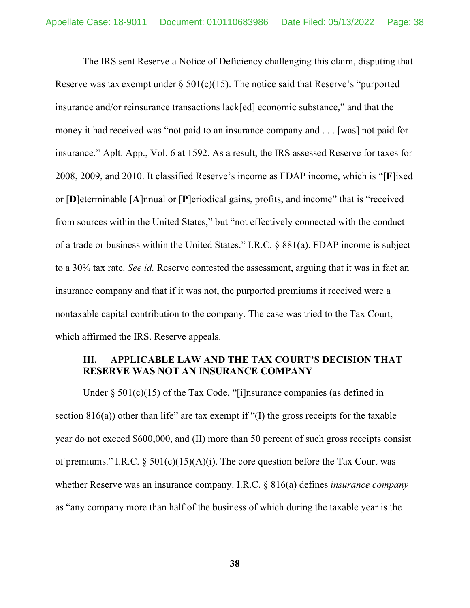The IRS sent Reserve a Notice of Deficiency challenging this claim, disputing that Reserve was tax exempt under  $\S 501(c)(15)$ . The notice said that Reserve's "purported insurance and/or reinsurance transactions lack[ed] economic substance," and that the money it had received was "not paid to an insurance company and . . . [was] not paid for insurance." Aplt. App., Vol. 6 at 1592. As a result, the IRS assessed Reserve for taxes for 2008, 2009, and 2010. It classified Reserve's income as FDAP income, which is "[**F**]ixed or [**D**]eterminable [**A**]nnual or [**P**]eriodical gains, profits, and income" that is "received from sources within the United States," but "not effectively connected with the conduct of a trade or business within the United States." I.R.C. § 881(a). FDAP income is subject to a 30% tax rate. *See id.* Reserve contested the assessment, arguing that it was in fact an insurance company and that if it was not, the purported premiums it received were a nontaxable capital contribution to the company. The case was tried to the Tax Court, which affirmed the IRS. Reserve appeals.

## **III. APPLICABLE LAW AND THE TAX COURT'S DECISION THAT RESERVE WAS NOT AN INSURANCE COMPANY**

Under  $\S 501(c)(15)$  of the Tax Code, "[i]nsurance companies (as defined in section  $816(a)$ ) other than life" are tax exempt if "(I) the gross receipts for the taxable year do not exceed \$600,000, and (II) more than 50 percent of such gross receipts consist of premiums." I.R.C. §  $501(c)(15)(A)(i)$ . The core question before the Tax Court was whether Reserve was an insurance company. I.R.C. § 816(a) defines *insurance company* as "any company more than half of the business of which during the taxable year is the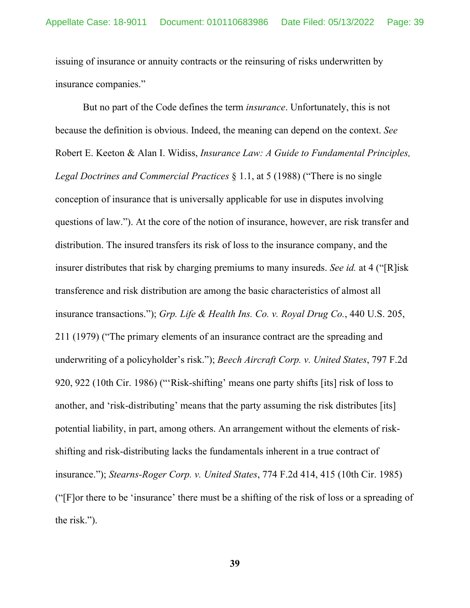issuing of insurance or annuity contracts or the reinsuring of risks underwritten by insurance companies."

But no part of the Code defines the term *insurance*. Unfortunately, this is not because the definition is obvious. Indeed, the meaning can depend on the context. *See* Robert E. Keeton & Alan I. Widiss, *Insurance Law: A Guide to Fundamental Principles, Legal Doctrines and Commercial Practices* § 1.1, at 5 (1988) ("There is no single conception of insurance that is universally applicable for use in disputes involving questions of law."). At the core of the notion of insurance, however, are risk transfer and distribution. The insured transfers its risk of loss to the insurance company, and the insurer distributes that risk by charging premiums to many insureds. *See id.* at 4 ("[R]isk transference and risk distribution are among the basic characteristics of almost all insurance transactions."); *Grp. Life & Health Ins. Co. v. Royal Drug Co.*, 440 U.S. 205, 211 (1979) ("The primary elements of an insurance contract are the spreading and underwriting of a policyholder's risk."); *Beech Aircraft Corp. v. United States*, 797 F.2d 920, 922 (10th Cir. 1986) ("'Risk-shifting' means one party shifts [its] risk of loss to another, and 'risk-distributing' means that the party assuming the risk distributes [its] potential liability, in part, among others. An arrangement without the elements of riskshifting and risk-distributing lacks the fundamentals inherent in a true contract of insurance."); *Stearns-Roger Corp. v. United States*, 774 F.2d 414, 415 (10th Cir. 1985) ("[F]or there to be 'insurance' there must be a shifting of the risk of loss or a spreading of the risk.").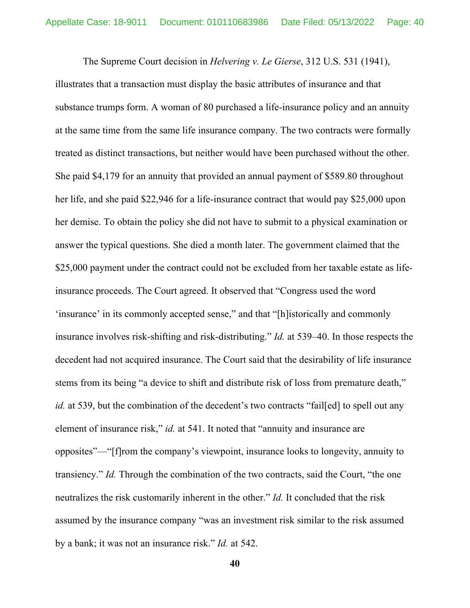The Supreme Court decision in *Helvering v. Le Gierse*, 312 U.S. 531 (1941),

illustrates that a transaction must display the basic attributes of insurance and that substance trumps form. A woman of 80 purchased a life-insurance policy and an annuity at the same time from the same life insurance company. The two contracts were formally treated as distinct transactions, but neither would have been purchased without the other. She paid \$4,179 for an annuity that provided an annual payment of \$589.80 throughout her life, and she paid \$22,946 for a life-insurance contract that would pay \$25,000 upon her demise. To obtain the policy she did not have to submit to a physical examination or answer the typical questions. She died a month later. The government claimed that the \$25,000 payment under the contract could not be excluded from her taxable estate as lifeinsurance proceeds. The Court agreed. It observed that "Congress used the word 'insurance' in its commonly accepted sense," and that "[h]istorically and commonly insurance involves risk-shifting and risk-distributing." *Id.* at 539–40. In those respects the decedent had not acquired insurance. The Court said that the desirability of life insurance stems from its being "a device to shift and distribute risk of loss from premature death," *id.* at 539, but the combination of the decedent's two contracts "failed to spell out any element of insurance risk," *id.* at 541. It noted that "annuity and insurance are opposites"—"[f]rom the company's viewpoint, insurance looks to longevity, annuity to transiency." *Id.* Through the combination of the two contracts, said the Court, "the one neutralizes the risk customarily inherent in the other." *Id.* It concluded that the risk assumed by the insurance company "was an investment risk similar to the risk assumed by a bank; it was not an insurance risk." *Id.* at 542.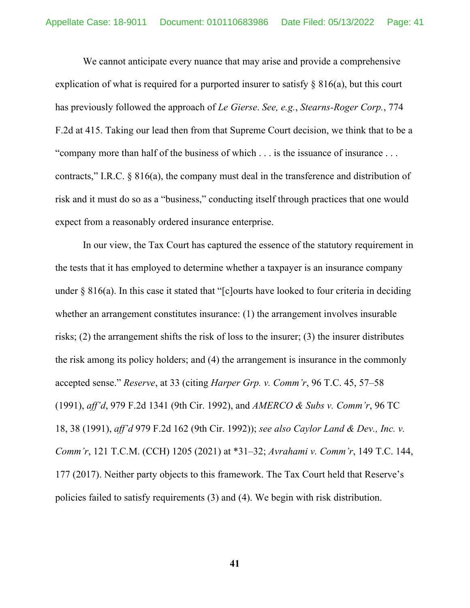We cannot anticipate every nuance that may arise and provide a comprehensive explication of what is required for a purported insurer to satisfy  $\S 816(a)$ , but this court has previously followed the approach of *Le Gierse*. *See, e.g.*, *Stearns-Roger Corp.*, 774 F.2d at 415. Taking our lead then from that Supreme Court decision, we think that to be a "company more than half of the business of which . . . is the issuance of insurance . . . contracts," I.R.C. § 816(a), the company must deal in the transference and distribution of risk and it must do so as a "business," conducting itself through practices that one would expect from a reasonably ordered insurance enterprise.

In our view, the Tax Court has captured the essence of the statutory requirement in the tests that it has employed to determine whether a taxpayer is an insurance company under  $\S 816(a)$ . In this case it stated that "[c]ourts have looked to four criteria in deciding whether an arrangement constitutes insurance: (1) the arrangement involves insurable risks; (2) the arrangement shifts the risk of loss to the insurer; (3) the insurer distributes the risk among its policy holders; and (4) the arrangement is insurance in the commonly accepted sense." *Reserve*, at 33 (citing *Harper Grp. v. Comm'r*, 96 T.C. 45, 57–58 (1991), *aff'd*, 979 F.2d 1341 (9th Cir. 1992), and *AMERCO & Subs v. Comm'r*, 96 TC 18, 38 (1991), *aff'd* 979 F.2d 162 (9th Cir. 1992)); *see also Caylor Land & Dev., Inc. v. Comm'r*, 121 T.C.M. (CCH) 1205 (2021) at \*31–32; *Avrahami v. Comm'r*, 149 T.C. 144, 177 (2017). Neither party objects to this framework. The Tax Court held that Reserve's policies failed to satisfy requirements (3) and (4). We begin with risk distribution.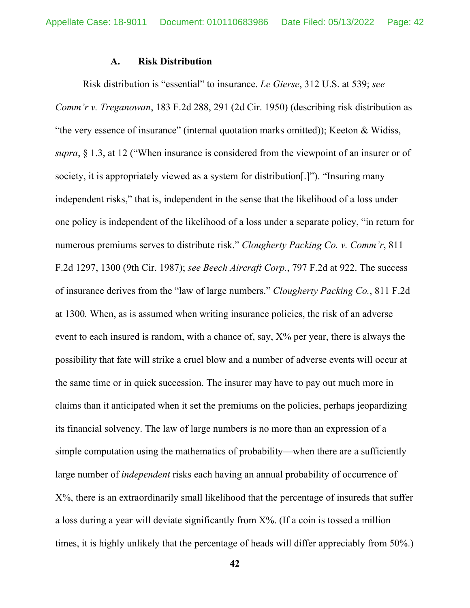#### **A. Risk Distribution**

Risk distribution is "essential" to insurance. *Le Gierse*, 312 U.S. at 539; *see Comm'r v. Treganowan*, 183 F.2d 288, 291 (2d Cir. 1950) (describing risk distribution as "the very essence of insurance" (internal quotation marks omitted)); Keeton & Widiss, *supra*, § 1.3, at 12 ("When insurance is considered from the viewpoint of an insurer or of society, it is appropriately viewed as a system for distribution[.]"). "Insuring many independent risks," that is, independent in the sense that the likelihood of a loss under one policy is independent of the likelihood of a loss under a separate policy, "in return for numerous premiums serves to distribute risk." *Clougherty Packing Co. v. Comm'r*, 811 F.2d 1297, 1300 (9th Cir. 1987); *see Beech Aircraft Corp.*, 797 F.2d at 922. The success of insurance derives from the "law of large numbers." *Clougherty Packing Co.*, 811 F.2d at 1300*.* When, as is assumed when writing insurance policies, the risk of an adverse event to each insured is random, with a chance of, say,  $X\%$  per year, there is always the possibility that fate will strike a cruel blow and a number of adverse events will occur at the same time or in quick succession. The insurer may have to pay out much more in claims than it anticipated when it set the premiums on the policies, perhaps jeopardizing its financial solvency. The law of large numbers is no more than an expression of a simple computation using the mathematics of probability—when there are a sufficiently large number of *independent* risks each having an annual probability of occurrence of X%, there is an extraordinarily small likelihood that the percentage of insureds that suffer a loss during a year will deviate significantly from  $X\%$ . (If a coin is tossed a million times, it is highly unlikely that the percentage of heads will differ appreciably from 50%.)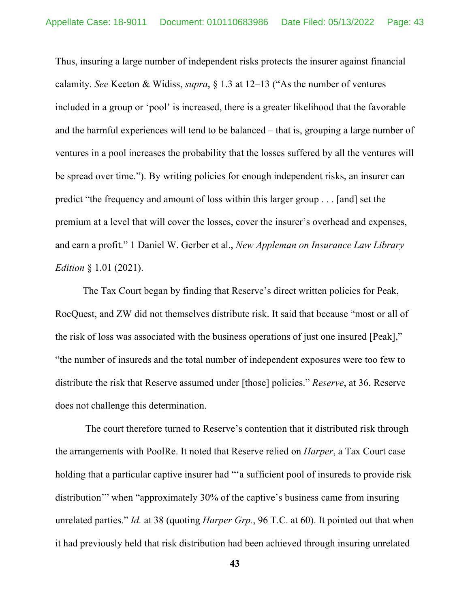Thus, insuring a large number of independent risks protects the insurer against financial calamity. *See* Keeton & Widiss, *supra*, § 1.3 at 12–13 ("As the number of ventures included in a group or 'pool' is increased, there is a greater likelihood that the favorable and the harmful experiences will tend to be balanced – that is, grouping a large number of ventures in a pool increases the probability that the losses suffered by all the ventures will be spread over time."). By writing policies for enough independent risks, an insurer can predict "the frequency and amount of loss within this larger group . . . [and] set the premium at a level that will cover the losses, cover the insurer's overhead and expenses, and earn a profit." 1 Daniel W. Gerber et al., *New Appleman on Insurance Law Library Edition* § 1.01 (2021).

The Tax Court began by finding that Reserve's direct written policies for Peak, RocQuest, and ZW did not themselves distribute risk. It said that because "most or all of the risk of loss was associated with the business operations of just one insured [Peak]," "the number of insureds and the total number of independent exposures were too few to distribute the risk that Reserve assumed under [those] policies." *Reserve*, at 36. Reserve does not challenge this determination.

The court therefore turned to Reserve's contention that it distributed risk through the arrangements with PoolRe. It noted that Reserve relied on *Harper*, a Tax Court case holding that a particular captive insurer had "'a sufficient pool of insureds to provide risk distribution'" when "approximately 30% of the captive's business came from insuring unrelated parties." *Id.* at 38 (quoting *Harper Grp.*, 96 T.C. at 60). It pointed out that when it had previously held that risk distribution had been achieved through insuring unrelated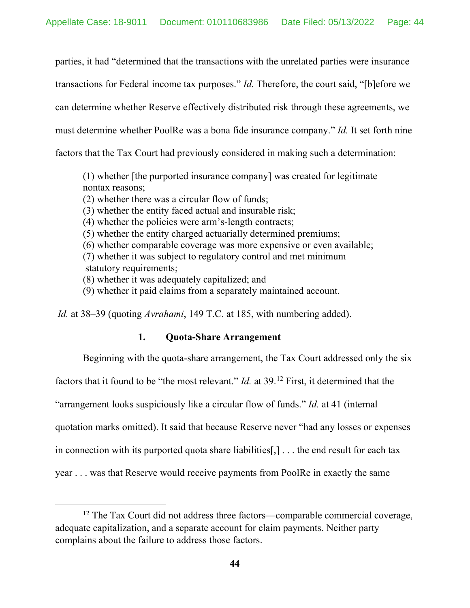parties, it had "determined that the transactions with the unrelated parties were insurance transactions for Federal income tax purposes." *Id.* Therefore, the court said, "[b]efore we can determine whether Reserve effectively distributed risk through these agreements, we must determine whether PoolRe was a bona fide insurance company." *Id.* It set forth nine factors that the Tax Court had previously considered in making such a determination:

(1) whether [the purported insurance company] was created for legitimate nontax reasons;

(2) whether there was a circular flow of funds;

(3) whether the entity faced actual and insurable risk;

(4) whether the policies were arm's-length contracts;

(5) whether the entity charged actuarially determined premiums;

(6) whether comparable coverage was more expensive or even available;

(7) whether it was subject to regulatory control and met minimum statutory requirements;

(8) whether it was adequately capitalized; and

(9) whether it paid claims from a separately maintained account.

*Id.* at 38–39 (quoting *Avrahami*, 149 T.C. at 185, with numbering added).

## **1. Quota-Share Arrangement**

Beginning with the quota-share arrangement, the Tax Court addressed only the six

factors that it found to be "the most relevant." *Id.* at 39.[12](#page-43-0) First, it determined that the

"arrangement looks suspiciously like a circular flow of funds." *Id.* at 41 (internal

quotation marks omitted). It said that because Reserve never "had any losses or expenses

in connection with its purported quota share liabilities[,]  $\ldots$  the end result for each tax

year . . . was that Reserve would receive payments from PoolRe in exactly the same

<span id="page-43-0"></span><sup>&</sup>lt;sup>12</sup> The Tax Court did not address three factors—comparable commercial coverage, adequate capitalization, and a separate account for claim payments. Neither party complains about the failure to address those factors.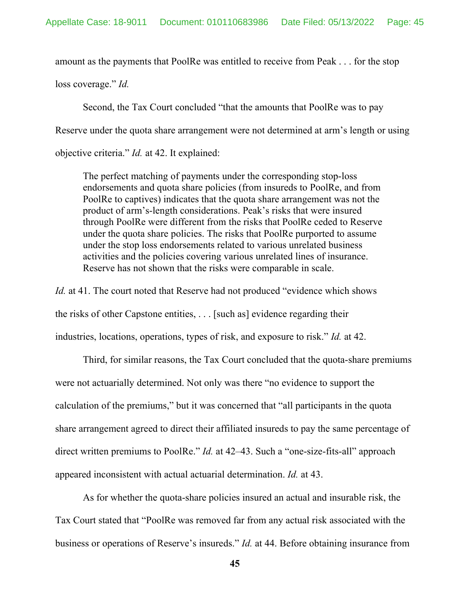amount as the payments that PoolRe was entitled to receive from Peak . . . for the stop

loss coverage." *Id.*

Second, the Tax Court concluded "that the amounts that PoolRe was to pay Reserve under the quota share arrangement were not determined at arm's length or using objective criteria." *Id.* at 42. It explained:

The perfect matching of payments under the corresponding stop-loss endorsements and quota share policies (from insureds to PoolRe, and from PoolRe to captives) indicates that the quota share arrangement was not the product of arm's-length considerations. Peak's risks that were insured through PoolRe were different from the risks that PoolRe ceded to Reserve under the quota share policies. The risks that PoolRe purported to assume under the stop loss endorsements related to various unrelated business activities and the policies covering various unrelated lines of insurance. Reserve has not shown that the risks were comparable in scale.

*Id.* at 41. The court noted that Reserve had not produced "evidence which shows the risks of other Capstone entities, . . . [such as] evidence regarding their industries, locations, operations, types of risk, and exposure to risk." *Id.* at 42.

Third, for similar reasons, the Tax Court concluded that the quota-share premiums were not actuarially determined. Not only was there "no evidence to support the calculation of the premiums," but it was concerned that "all participants in the quota share arrangement agreed to direct their affiliated insureds to pay the same percentage of direct written premiums to PoolRe." *Id.* at 42–43. Such a "one-size-fits-all" approach appeared inconsistent with actual actuarial determination. *Id.* at 43.

As for whether the quota-share policies insured an actual and insurable risk, the Tax Court stated that "PoolRe was removed far from any actual risk associated with the business or operations of Reserve's insureds." *Id.* at 44. Before obtaining insurance from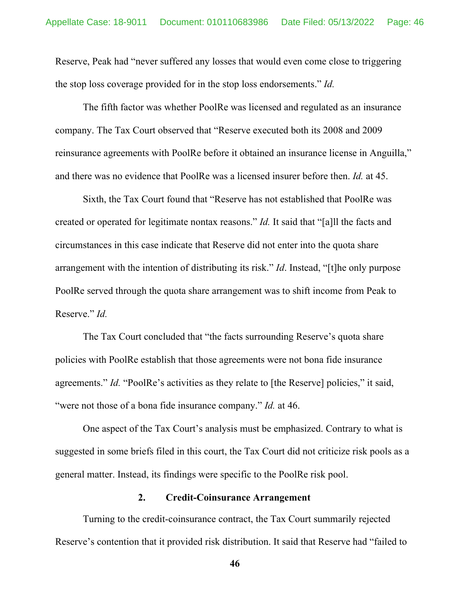Reserve, Peak had "never suffered any losses that would even come close to triggering the stop loss coverage provided for in the stop loss endorsements." *Id.*

The fifth factor was whether PoolRe was licensed and regulated as an insurance company. The Tax Court observed that "Reserve executed both its 2008 and 2009 reinsurance agreements with PoolRe before it obtained an insurance license in Anguilla," and there was no evidence that PoolRe was a licensed insurer before then. *Id.* at 45.

Sixth, the Tax Court found that "Reserve has not established that PoolRe was created or operated for legitimate nontax reasons." *Id.* It said that "[a]ll the facts and circumstances in this case indicate that Reserve did not enter into the quota share arrangement with the intention of distributing its risk." *Id*. Instead, "[t]he only purpose PoolRe served through the quota share arrangement was to shift income from Peak to Reserve." *Id.*

The Tax Court concluded that "the facts surrounding Reserve's quota share policies with PoolRe establish that those agreements were not bona fide insurance agreements." *Id.* "PoolRe's activities as they relate to [the Reserve] policies," it said, "were not those of a bona fide insurance company." *Id.* at 46.

One aspect of the Tax Court's analysis must be emphasized. Contrary to what is suggested in some briefs filed in this court, the Tax Court did not criticize risk pools as a general matter. Instead, its findings were specific to the PoolRe risk pool.

#### **2. Credit-Coinsurance Arrangement**

Turning to the credit-coinsurance contract, the Tax Court summarily rejected Reserve's contention that it provided risk distribution. It said that Reserve had "failed to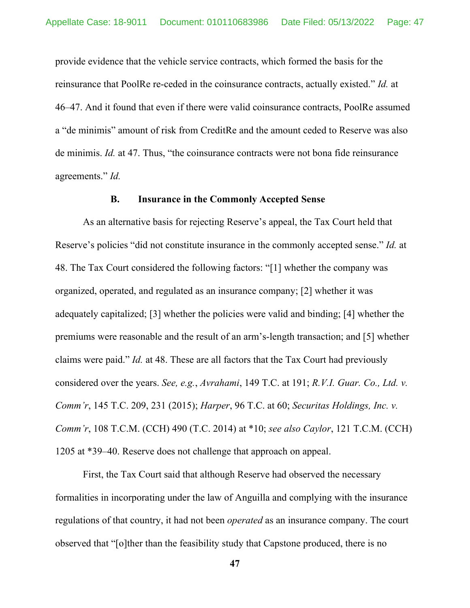provide evidence that the vehicle service contracts, which formed the basis for the reinsurance that PoolRe re-ceded in the coinsurance contracts, actually existed." *Id.* at 46–47. And it found that even if there were valid coinsurance contracts, PoolRe assumed a "de minimis" amount of risk from CreditRe and the amount ceded to Reserve was also de minimis. *Id.* at 47. Thus, "the coinsurance contracts were not bona fide reinsurance agreements." *Id.*

#### **B. Insurance in the Commonly Accepted Sense**

As an alternative basis for rejecting Reserve's appeal, the Tax Court held that Reserve's policies "did not constitute insurance in the commonly accepted sense." *Id.* at 48. The Tax Court considered the following factors: "[1] whether the company was organized, operated, and regulated as an insurance company; [2] whether it was adequately capitalized; [3] whether the policies were valid and binding; [4] whether the premiums were reasonable and the result of an arm's-length transaction; and [5] whether claims were paid." *Id.* at 48. These are all factors that the Tax Court had previously considered over the years. *See, e.g.*, *Avrahami*, 149 T.C. at 191; *R.V.I. Guar. Co., Ltd. v. Comm'r*, 145 T.C. 209, 231 (2015); *Harper*, 96 T.C. at 60; *Securitas Holdings, Inc. v. Comm'r*, 108 T.C.M. (CCH) 490 (T.C. 2014) at \*10; *see also Caylor*, 121 T.C.M. (CCH) 1205 at \*39–40. Reserve does not challenge that approach on appeal.

First, the Tax Court said that although Reserve had observed the necessary formalities in incorporating under the law of Anguilla and complying with the insurance regulations of that country, it had not been *operated* as an insurance company. The court observed that "[o]ther than the feasibility study that Capstone produced, there is no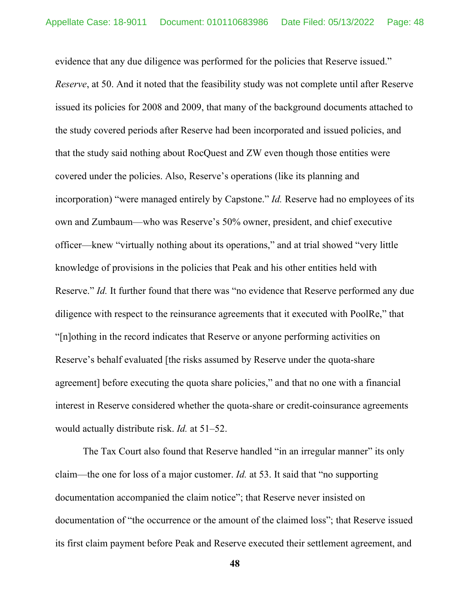evidence that any due diligence was performed for the policies that Reserve issued." *Reserve*, at 50. And it noted that the feasibility study was not complete until after Reserve issued its policies for 2008 and 2009, that many of the background documents attached to the study covered periods after Reserve had been incorporated and issued policies, and that the study said nothing about RocQuest and ZW even though those entities were covered under the policies. Also, Reserve's operations (like its planning and incorporation) "were managed entirely by Capstone." *Id.* Reserve had no employees of its own and Zumbaum—who was Reserve's 50% owner, president, and chief executive officer—knew "virtually nothing about its operations," and at trial showed "very little knowledge of provisions in the policies that Peak and his other entities held with Reserve." *Id.* It further found that there was "no evidence that Reserve performed any due diligence with respect to the reinsurance agreements that it executed with PoolRe," that "[n]othing in the record indicates that Reserve or anyone performing activities on Reserve's behalf evaluated [the risks assumed by Reserve under the quota-share agreement] before executing the quota share policies," and that no one with a financial interest in Reserve considered whether the quota-share or credit-coinsurance agreements would actually distribute risk. *Id.* at 51–52.

The Tax Court also found that Reserve handled "in an irregular manner" its only claim—the one for loss of a major customer. *Id.* at 53. It said that "no supporting documentation accompanied the claim notice"; that Reserve never insisted on documentation of "the occurrence or the amount of the claimed loss"; that Reserve issued its first claim payment before Peak and Reserve executed their settlement agreement, and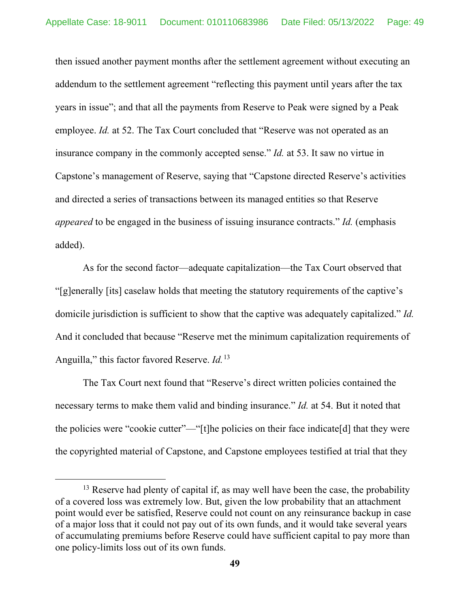then issued another payment months after the settlement agreement without executing an addendum to the settlement agreement "reflecting this payment until years after the tax years in issue"; and that all the payments from Reserve to Peak were signed by a Peak employee. *Id.* at 52. The Tax Court concluded that "Reserve was not operated as an insurance company in the commonly accepted sense." *Id.* at 53. It saw no virtue in Capstone's management of Reserve, saying that "Capstone directed Reserve's activities and directed a series of transactions between its managed entities so that Reserve *appeared* to be engaged in the business of issuing insurance contracts." *Id.* (emphasis added).

As for the second factor—adequate capitalization—the Tax Court observed that "[g]enerally [its] caselaw holds that meeting the statutory requirements of the captive's domicile jurisdiction is sufficient to show that the captive was adequately capitalized." *Id.* And it concluded that because "Reserve met the minimum capitalization requirements of Anguilla," this factor favored Reserve. *Id.*[13](#page-48-0)

The Tax Court next found that "Reserve's direct written policies contained the necessary terms to make them valid and binding insurance." *Id.* at 54. But it noted that the policies were "cookie cutter"—"[t]he policies on their face indicate[d] that they were the copyrighted material of Capstone, and Capstone employees testified at trial that they

<span id="page-48-0"></span><sup>&</sup>lt;sup>13</sup> Reserve had plenty of capital if, as may well have been the case, the probability of a covered loss was extremely low. But, given the low probability that an attachment point would ever be satisfied, Reserve could not count on any reinsurance backup in case of a major loss that it could not pay out of its own funds, and it would take several years of accumulating premiums before Reserve could have sufficient capital to pay more than one policy-limits loss out of its own funds.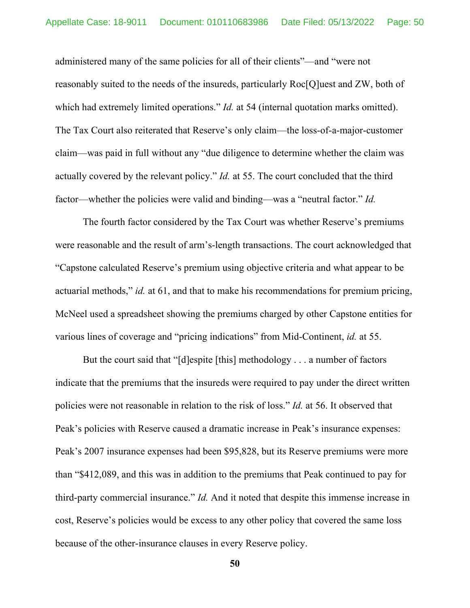administered many of the same policies for all of their clients"—and "were not reasonably suited to the needs of the insureds, particularly Roc[Q]uest and ZW, both of which had extremely limited operations." *Id.* at 54 (internal quotation marks omitted). The Tax Court also reiterated that Reserve's only claim—the loss-of-a-major-customer claim—was paid in full without any "due diligence to determine whether the claim was actually covered by the relevant policy." *Id.* at 55. The court concluded that the third factor—whether the policies were valid and binding—was a "neutral factor." *Id.*

The fourth factor considered by the Tax Court was whether Reserve's premiums were reasonable and the result of arm's-length transactions. The court acknowledged that "Capstone calculated Reserve's premium using objective criteria and what appear to be actuarial methods," *id.* at 61, and that to make his recommendations for premium pricing, McNeel used a spreadsheet showing the premiums charged by other Capstone entities for various lines of coverage and "pricing indications" from Mid-Continent, *id.* at 55.

But the court said that "[d]espite [this] methodology . . . a number of factors indicate that the premiums that the insureds were required to pay under the direct written policies were not reasonable in relation to the risk of loss." *Id.* at 56. It observed that Peak's policies with Reserve caused a dramatic increase in Peak's insurance expenses: Peak's 2007 insurance expenses had been \$95,828, but its Reserve premiums were more than "\$412,089, and this was in addition to the premiums that Peak continued to pay for third-party commercial insurance." *Id.* And it noted that despite this immense increase in cost, Reserve's policies would be excess to any other policy that covered the same loss because of the other-insurance clauses in every Reserve policy.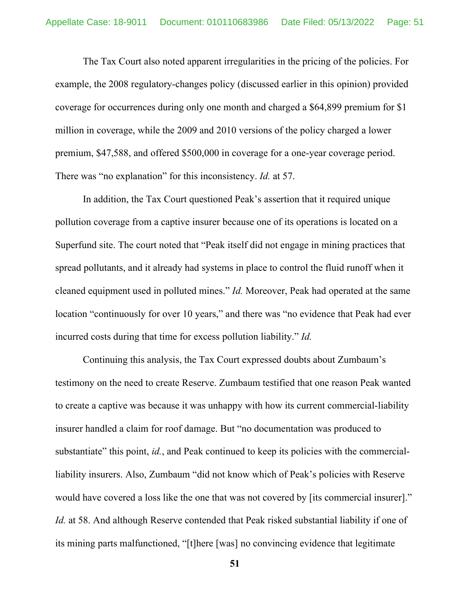The Tax Court also noted apparent irregularities in the pricing of the policies. For example, the 2008 regulatory-changes policy (discussed earlier in this opinion) provided coverage for occurrences during only one month and charged a \$64,899 premium for \$1 million in coverage, while the 2009 and 2010 versions of the policy charged a lower premium, \$47,588, and offered \$500,000 in coverage for a one-year coverage period. There was "no explanation" for this inconsistency. *Id.* at 57.

In addition, the Tax Court questioned Peak's assertion that it required unique pollution coverage from a captive insurer because one of its operations is located on a Superfund site. The court noted that "Peak itself did not engage in mining practices that spread pollutants, and it already had systems in place to control the fluid runoff when it cleaned equipment used in polluted mines." *Id.* Moreover, Peak had operated at the same location "continuously for over 10 years," and there was "no evidence that Peak had ever incurred costs during that time for excess pollution liability." *Id.*

Continuing this analysis, the Tax Court expressed doubts about Zumbaum's testimony on the need to create Reserve. Zumbaum testified that one reason Peak wanted to create a captive was because it was unhappy with how its current commercial-liability insurer handled a claim for roof damage. But "no documentation was produced to substantiate" this point, *id.*, and Peak continued to keep its policies with the commercialliability insurers. Also, Zumbaum "did not know which of Peak's policies with Reserve would have covered a loss like the one that was not covered by [its commercial insurer]." *Id.* at 58. And although Reserve contended that Peak risked substantial liability if one of its mining parts malfunctioned, "[t]here [was] no convincing evidence that legitimate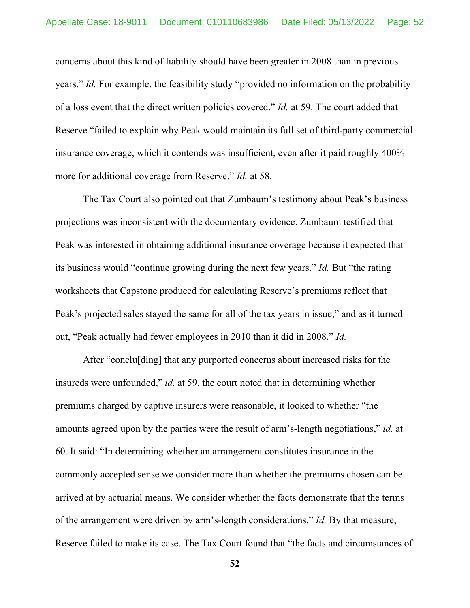concerns about this kind of liability should have been greater in 2008 than in previous years." *Id.* For example, the feasibility study "provided no information on the probability of a loss event that the direct written policies covered." *Id.* at 59. The court added that Reserve "failed to explain why Peak would maintain its full set of third-party commercial insurance coverage, which it contends was insufficient, even after it paid roughly 400% more for additional coverage from Reserve." *Id.* at 58.

The Tax Court also pointed out that Zumbaum's testimony about Peak's business projections was inconsistent with the documentary evidence. Zumbaum testified that Peak was interested in obtaining additional insurance coverage because it expected that its business would "continue growing during the next few years." *Id.* But "the rating worksheets that Capstone produced for calculating Reserve's premiums reflect that Peak's projected sales stayed the same for all of the tax years in issue," and as it turned out, "Peak actually had fewer employees in 2010 than it did in 2008." *Id.*

After "conclu[ding] that any purported concerns about increased risks for the insureds were unfounded," *id.* at 59, the court noted that in determining whether premiums charged by captive insurers were reasonable, it looked to whether "the amounts agreed upon by the parties were the result of arm's-length negotiations," *id.* at 60. It said: "In determining whether an arrangement constitutes insurance in the commonly accepted sense we consider more than whether the premiums chosen can be arrived at by actuarial means. We consider whether the facts demonstrate that the terms of the arrangement were driven by arm's-length considerations." *Id.* By that measure, Reserve failed to make its case. The Tax Court found that "the facts and circumstances of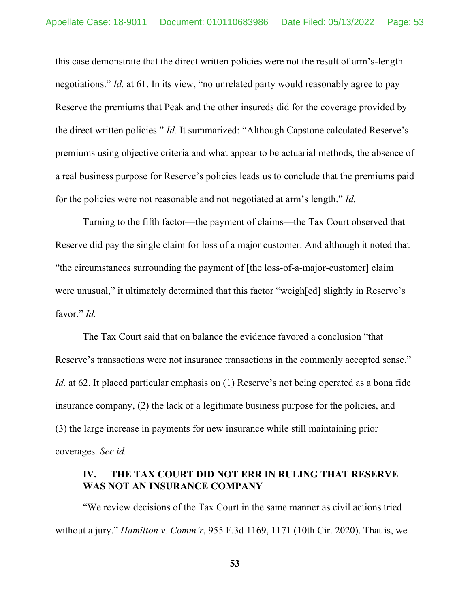this case demonstrate that the direct written policies were not the result of arm's-length negotiations." *Id.* at 61. In its view, "no unrelated party would reasonably agree to pay Reserve the premiums that Peak and the other insureds did for the coverage provided by the direct written policies." *Id.* It summarized: "Although Capstone calculated Reserve's premiums using objective criteria and what appear to be actuarial methods, the absence of a real business purpose for Reserve's policies leads us to conclude that the premiums paid for the policies were not reasonable and not negotiated at arm's length." *Id.*

Turning to the fifth factor—the payment of claims—the Tax Court observed that Reserve did pay the single claim for loss of a major customer. And although it noted that "the circumstances surrounding the payment of [the loss-of-a-major-customer] claim were unusual," it ultimately determined that this factor "weigh[ed] slightly in Reserve's favor." *Id.*

The Tax Court said that on balance the evidence favored a conclusion "that Reserve's transactions were not insurance transactions in the commonly accepted sense." *Id.* at 62. It placed particular emphasis on (1) Reserve's not being operated as a bona fide insurance company, (2) the lack of a legitimate business purpose for the policies, and (3) the large increase in payments for new insurance while still maintaining prior coverages. *See id.*

# **IV. THE TAX COURT DID NOT ERR IN RULING THAT RESERVE WAS NOT AN INSURANCE COMPANY**

"We review decisions of the Tax Court in the same manner as civil actions tried without a jury." *Hamilton v. Comm'r*, 955 F.3d 1169, 1171 (10th Cir. 2020). That is, we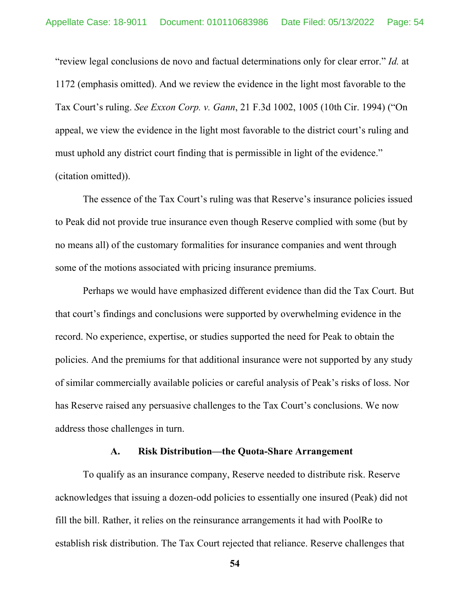"review legal conclusions de novo and factual determinations only for clear error." *Id.* at 1172 (emphasis omitted). And we review the evidence in the light most favorable to the Tax Court's ruling. *See Exxon Corp. v. Gann*, 21 F.3d 1002, 1005 (10th Cir. 1994) ("On appeal, we view the evidence in the light most favorable to the district court's ruling and must uphold any district court finding that is permissible in light of the evidence." (citation omitted)).

The essence of the Tax Court's ruling was that Reserve's insurance policies issued to Peak did not provide true insurance even though Reserve complied with some (but by no means all) of the customary formalities for insurance companies and went through some of the motions associated with pricing insurance premiums.

Perhaps we would have emphasized different evidence than did the Tax Court. But that court's findings and conclusions were supported by overwhelming evidence in the record. No experience, expertise, or studies supported the need for Peak to obtain the policies. And the premiums for that additional insurance were not supported by any study of similar commercially available policies or careful analysis of Peak's risks of loss. Nor has Reserve raised any persuasive challenges to the Tax Court's conclusions. We now address those challenges in turn.

#### **A. Risk Distribution—the Quota-Share Arrangement**

To qualify as an insurance company, Reserve needed to distribute risk. Reserve acknowledges that issuing a dozen-odd policies to essentially one insured (Peak) did not fill the bill. Rather, it relies on the reinsurance arrangements it had with PoolRe to establish risk distribution. The Tax Court rejected that reliance. Reserve challenges that

**<sup>54</sup>**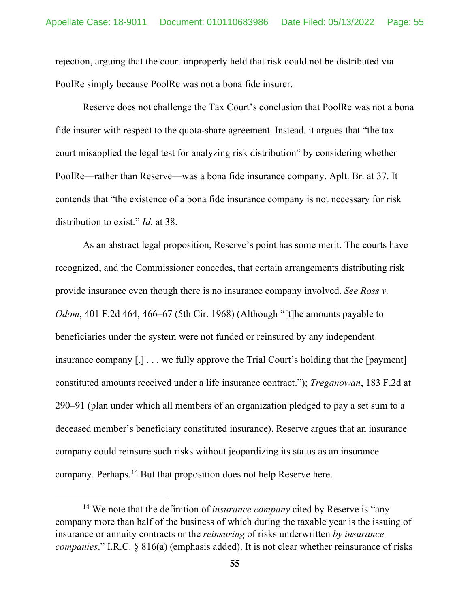rejection, arguing that the court improperly held that risk could not be distributed via PoolRe simply because PoolRe was not a bona fide insurer.

Reserve does not challenge the Tax Court's conclusion that PoolRe was not a bona fide insurer with respect to the quota-share agreement. Instead, it argues that "the tax court misapplied the legal test for analyzing risk distribution" by considering whether PoolRe—rather than Reserve—was a bona fide insurance company. Aplt. Br. at 37. It contends that "the existence of a bona fide insurance company is not necessary for risk distribution to exist." *Id.* at 38.

As an abstract legal proposition, Reserve's point has some merit. The courts have recognized, and the Commissioner concedes, that certain arrangements distributing risk provide insurance even though there is no insurance company involved. *See Ross v. Odom*, 401 F.2d 464, 466–67 (5th Cir. 1968) (Although "[t]he amounts payable to beneficiaries under the system were not funded or reinsured by any independent insurance company [,] . . . we fully approve the Trial Court's holding that the [payment] constituted amounts received under a life insurance contract."); *Treganowan*, 183 F.2d at 290–91 (plan under which all members of an organization pledged to pay a set sum to a deceased member's beneficiary constituted insurance). Reserve argues that an insurance company could reinsure such risks without jeopardizing its status as an insurance company. Perhaps.<sup>[14](#page-54-0)</sup> But that proposition does not help Reserve here.

<span id="page-54-0"></span><sup>14</sup> We note that the definition of *insurance company* cited by Reserve is "any company more than half of the business of which during the taxable year is the issuing of insurance or annuity contracts or the *reinsuring* of risks underwritten *by insurance companies*." [I.R.C. § 816\(a\)](https://www.westlaw.com/Document/N7A5412B0AFF811D8803AE0632FEDDFBF/View/FullText.html?transitionType=Default&contextData=(sc.Default)&VR=3.0&RS=da3.0) (emphasis added). It is not clear whether reinsurance of risks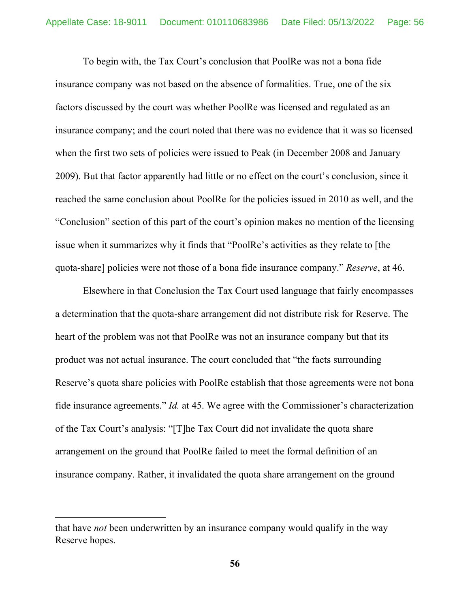To begin with, the Tax Court's conclusion that PoolRe was not a bona fide insurance company was not based on the absence of formalities. True, one of the six factors discussed by the court was whether PoolRe was licensed and regulated as an insurance company; and the court noted that there was no evidence that it was so licensed when the first two sets of policies were issued to Peak (in December 2008 and January 2009). But that factor apparently had little or no effect on the court's conclusion, since it reached the same conclusion about PoolRe for the policies issued in 2010 as well, and the "Conclusion" section of this part of the court's opinion makes no mention of the licensing issue when it summarizes why it finds that "PoolRe's activities as they relate to [the quota-share] policies were not those of a bona fide insurance company." *Reserve*, at 46.

Elsewhere in that Conclusion the Tax Court used language that fairly encompasses a determination that the quota-share arrangement did not distribute risk for Reserve. The heart of the problem was not that PoolRe was not an insurance company but that its product was not actual insurance. The court concluded that "the facts surrounding Reserve's quota share policies with PoolRe establish that those agreements were not bona fide insurance agreements." *Id.* at 45. We agree with the Commissioner's characterization of the Tax Court's analysis: "[T]he Tax Court did not invalidate the quota share arrangement on the ground that PoolRe failed to meet the formal definition of an insurance company. Rather, it invalidated the quota share arrangement on the ground

that have *not* been underwritten by an insurance company would qualify in the way Reserve hopes.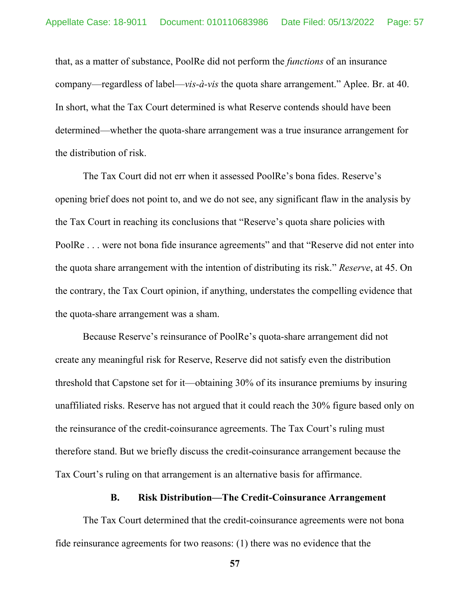that, as a matter of substance, PoolRe did not perform the *functions* of an insurance company—regardless of label—*vis-à-vis* the quota share arrangement." Aplee. Br. at 40. In short, what the Tax Court determined is what Reserve contends should have been determined—whether the quota-share arrangement was a true insurance arrangement for the distribution of risk.

The Tax Court did not err when it assessed PoolRe's bona fides. Reserve's opening brief does not point to, and we do not see, any significant flaw in the analysis by the Tax Court in reaching its conclusions that "Reserve's quota share policies with PoolRe . . . were not bona fide insurance agreements" and that "Reserve did not enter into the quota share arrangement with the intention of distributing its risk." *Reserve*, at 45. On the contrary, the Tax Court opinion, if anything, understates the compelling evidence that the quota-share arrangement was a sham.

Because Reserve's reinsurance of PoolRe's quota-share arrangement did not create any meaningful risk for Reserve, Reserve did not satisfy even the distribution threshold that Capstone set for it—obtaining 30% of its insurance premiums by insuring unaffiliated risks. Reserve has not argued that it could reach the 30% figure based only on the reinsurance of the credit-coinsurance agreements. The Tax Court's ruling must therefore stand. But we briefly discuss the credit-coinsurance arrangement because the Tax Court's ruling on that arrangement is an alternative basis for affirmance.

#### **B. Risk Distribution—The Credit-Coinsurance Arrangement**

The Tax Court determined that the credit-coinsurance agreements were not bona fide reinsurance agreements for two reasons: (1) there was no evidence that the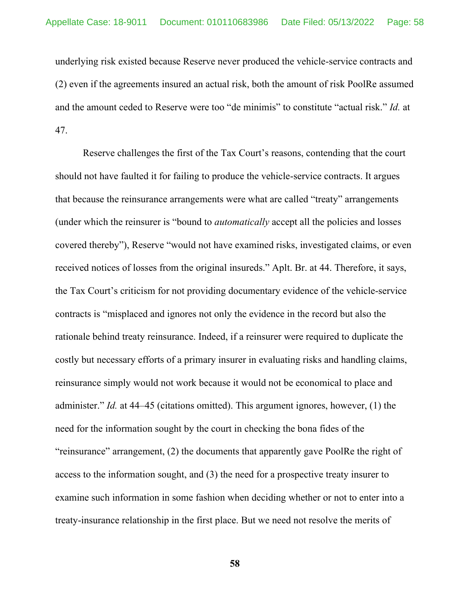underlying risk existed because Reserve never produced the vehicle-service contracts and (2) even if the agreements insured an actual risk, both the amount of risk PoolRe assumed and the amount ceded to Reserve were too "de minimis" to constitute "actual risk." *Id.* at 47.

Reserve challenges the first of the Tax Court's reasons, contending that the court should not have faulted it for failing to produce the vehicle-service contracts. It argues that because the reinsurance arrangements were what are called "treaty" arrangements (under which the reinsurer is "bound to *automatically* accept all the policies and losses covered thereby"), Reserve "would not have examined risks, investigated claims, or even received notices of losses from the original insureds." Aplt. Br. at 44. Therefore, it says, the Tax Court's criticism for not providing documentary evidence of the vehicle-service contracts is "misplaced and ignores not only the evidence in the record but also the rationale behind treaty reinsurance. Indeed, if a reinsurer were required to duplicate the costly but necessary efforts of a primary insurer in evaluating risks and handling claims, reinsurance simply would not work because it would not be economical to place and administer." *Id.* at 44–45 (citations omitted). This argument ignores, however, (1) the need for the information sought by the court in checking the bona fides of the "reinsurance" arrangement, (2) the documents that apparently gave PoolRe the right of access to the information sought, and (3) the need for a prospective treaty insurer to examine such information in some fashion when deciding whether or not to enter into a treaty-insurance relationship in the first place. But we need not resolve the merits of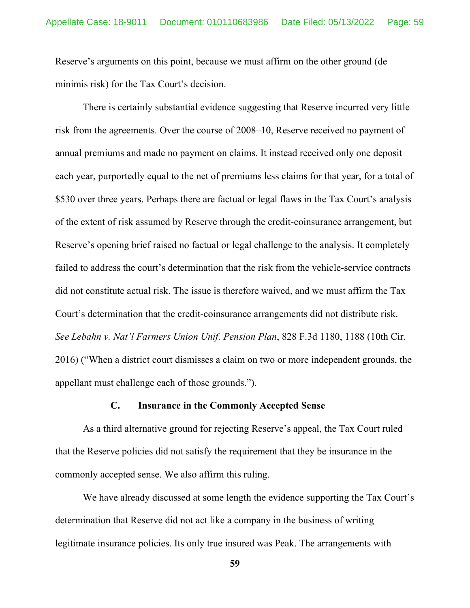Reserve's arguments on this point, because we must affirm on the other ground (de minimis risk) for the Tax Court's decision.

There is certainly substantial evidence suggesting that Reserve incurred very little risk from the agreements. Over the course of 2008–10, Reserve received no payment of annual premiums and made no payment on claims. It instead received only one deposit each year, purportedly equal to the net of premiums less claims for that year, for a total of \$530 over three years. Perhaps there are factual or legal flaws in the Tax Court's analysis of the extent of risk assumed by Reserve through the credit-coinsurance arrangement, but Reserve's opening brief raised no factual or legal challenge to the analysis. It completely failed to address the court's determination that the risk from the vehicle-service contracts did not constitute actual risk. The issue is therefore waived, and we must affirm the Tax Court's determination that the credit-coinsurance arrangements did not distribute risk. *See Lebahn v. Nat'l Farmers Union Unif. Pension Plan*, 828 F.3d 1180, 1188 (10th Cir. 2016) ("When a district court dismisses a claim on two or more independent grounds, the appellant must challenge each of those grounds.").

### **C. Insurance in the Commonly Accepted Sense**

As a third alternative ground for rejecting Reserve's appeal, the Tax Court ruled that the Reserve policies did not satisfy the requirement that they be insurance in the commonly accepted sense. We also affirm this ruling.

We have already discussed at some length the evidence supporting the Tax Court's determination that Reserve did not act like a company in the business of writing legitimate insurance policies. Its only true insured was Peak. The arrangements with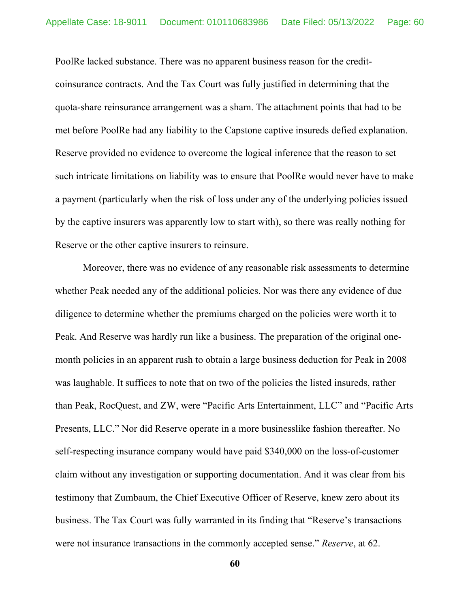PoolRe lacked substance. There was no apparent business reason for the creditcoinsurance contracts. And the Tax Court was fully justified in determining that the quota-share reinsurance arrangement was a sham. The attachment points that had to be met before PoolRe had any liability to the Capstone captive insureds defied explanation. Reserve provided no evidence to overcome the logical inference that the reason to set such intricate limitations on liability was to ensure that PoolRe would never have to make a payment (particularly when the risk of loss under any of the underlying policies issued by the captive insurers was apparently low to start with), so there was really nothing for Reserve or the other captive insurers to reinsure.

Moreover, there was no evidence of any reasonable risk assessments to determine whether Peak needed any of the additional policies. Nor was there any evidence of due diligence to determine whether the premiums charged on the policies were worth it to Peak. And Reserve was hardly run like a business. The preparation of the original onemonth policies in an apparent rush to obtain a large business deduction for Peak in 2008 was laughable. It suffices to note that on two of the policies the listed insureds, rather than Peak, RocQuest, and ZW, were "Pacific Arts Entertainment, LLC" and "Pacific Arts Presents, LLC." Nor did Reserve operate in a more businesslike fashion thereafter. No self-respecting insurance company would have paid \$340,000 on the loss-of-customer claim without any investigation or supporting documentation. And it was clear from his testimony that Zumbaum, the Chief Executive Officer of Reserve, knew zero about its business. The Tax Court was fully warranted in its finding that "Reserve's transactions were not insurance transactions in the commonly accepted sense." *Reserve*, at 62.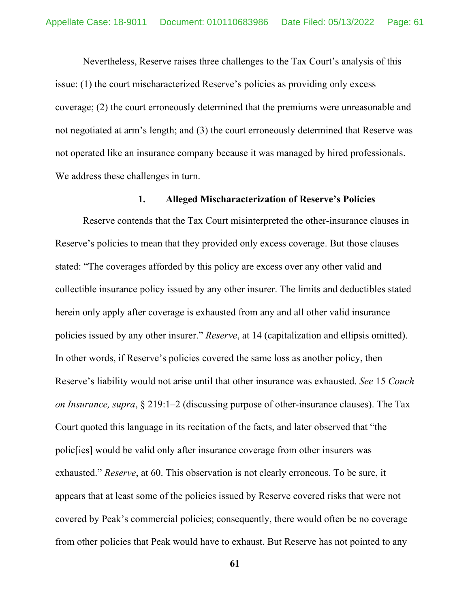Nevertheless, Reserve raises three challenges to the Tax Court's analysis of this issue: (1) the court mischaracterized Reserve's policies as providing only excess coverage; (2) the court erroneously determined that the premiums were unreasonable and not negotiated at arm's length; and (3) the court erroneously determined that Reserve was not operated like an insurance company because it was managed by hired professionals. We address these challenges in turn.

## **1. Alleged Mischaracterization of Reserve's Policies**

Reserve contends that the Tax Court misinterpreted the other-insurance clauses in Reserve's policies to mean that they provided only excess coverage. But those clauses stated: "The coverages afforded by this policy are excess over any other valid and collectible insurance policy issued by any other insurer. The limits and deductibles stated herein only apply after coverage is exhausted from any and all other valid insurance policies issued by any other insurer." *Reserve*, at 14 (capitalization and ellipsis omitted). In other words, if Reserve's policies covered the same loss as another policy, then Reserve's liability would not arise until that other insurance was exhausted. *See* 15 *Couch on Insurance, supra*, § 219:1–2 (discussing purpose of other-insurance clauses). The Tax Court quoted this language in its recitation of the facts, and later observed that "the polic[ies] would be valid only after insurance coverage from other insurers was exhausted." *Reserve*, at 60. This observation is not clearly erroneous. To be sure, it appears that at least some of the policies issued by Reserve covered risks that were not covered by Peak's commercial policies; consequently, there would often be no coverage from other policies that Peak would have to exhaust. But Reserve has not pointed to any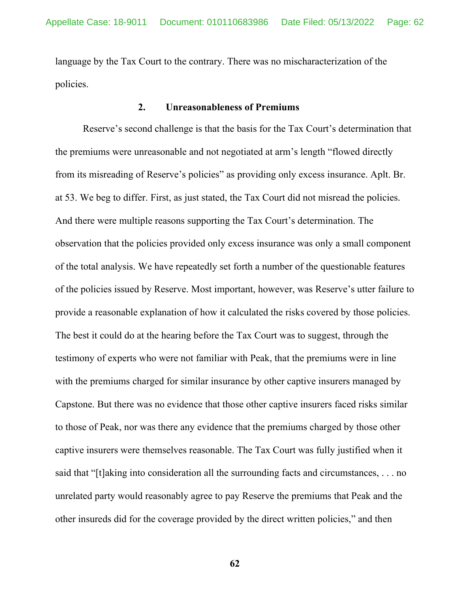language by the Tax Court to the contrary. There was no mischaracterization of the policies.

### **2. Unreasonableness of Premiums**

Reserve's second challenge is that the basis for the Tax Court's determination that the premiums were unreasonable and not negotiated at arm's length "flowed directly from its misreading of Reserve's policies" as providing only excess insurance. Aplt. Br. at 53. We beg to differ. First, as just stated, the Tax Court did not misread the policies. And there were multiple reasons supporting the Tax Court's determination. The observation that the policies provided only excess insurance was only a small component of the total analysis. We have repeatedly set forth a number of the questionable features of the policies issued by Reserve. Most important, however, was Reserve's utter failure to provide a reasonable explanation of how it calculated the risks covered by those policies. The best it could do at the hearing before the Tax Court was to suggest, through the testimony of experts who were not familiar with Peak, that the premiums were in line with the premiums charged for similar insurance by other captive insurers managed by Capstone. But there was no evidence that those other captive insurers faced risks similar to those of Peak, nor was there any evidence that the premiums charged by those other captive insurers were themselves reasonable. The Tax Court was fully justified when it said that "[t]aking into consideration all the surrounding facts and circumstances, . . . no unrelated party would reasonably agree to pay Reserve the premiums that Peak and the other insureds did for the coverage provided by the direct written policies," and then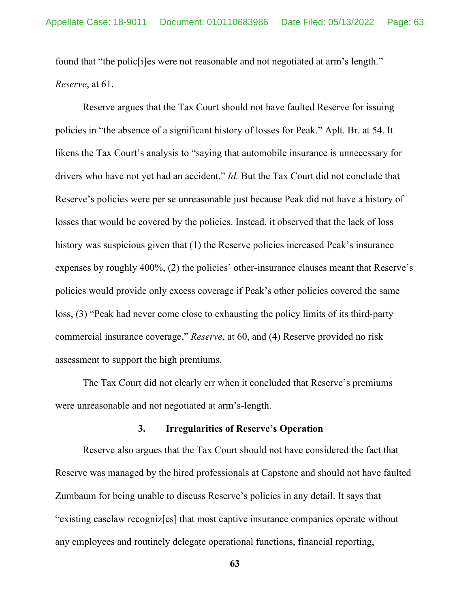found that "the polic[i]es were not reasonable and not negotiated at arm's length." *Reserve*, at 61.

Reserve argues that the Tax Court should not have faulted Reserve for issuing policies in "the absence of a significant history of losses for Peak." Aplt. Br. at 54. It likens the Tax Court's analysis to "saying that automobile insurance is unnecessary for drivers who have not yet had an accident." *Id.* But the Tax Court did not conclude that Reserve's policies were per se unreasonable just because Peak did not have a history of losses that would be covered by the policies. Instead, it observed that the lack of loss history was suspicious given that (1) the Reserve policies increased Peak's insurance expenses by roughly 400%, (2) the policies' other-insurance clauses meant that Reserve's policies would provide only excess coverage if Peak's other policies covered the same loss, (3) "Peak had never come close to exhausting the policy limits of its third-party commercial insurance coverage," *Reserve*, at 60, and (4) Reserve provided no risk assessment to support the high premiums.

The Tax Court did not clearly err when it concluded that Reserve's premiums were unreasonable and not negotiated at arm's-length.

#### **3. Irregularities of Reserve's Operation**

Reserve also argues that the Tax Court should not have considered the fact that Reserve was managed by the hired professionals at Capstone and should not have faulted Zumbaum for being unable to discuss Reserve's policies in any detail. It says that "existing caselaw recogniz[es] that most captive insurance companies operate without any employees and routinely delegate operational functions, financial reporting,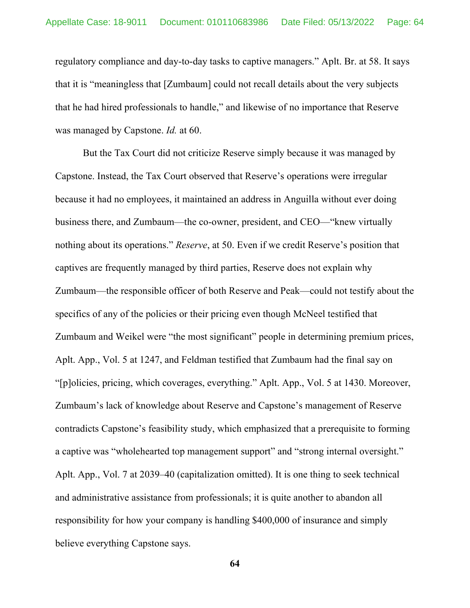regulatory compliance and day-to-day tasks to captive managers." Aplt. Br. at 58. It says that it is "meaningless that [Zumbaum] could not recall details about the very subjects that he had hired professionals to handle," and likewise of no importance that Reserve was managed by Capstone. *Id.* at 60.

But the Tax Court did not criticize Reserve simply because it was managed by Capstone. Instead, the Tax Court observed that Reserve's operations were irregular because it had no employees, it maintained an address in Anguilla without ever doing business there, and Zumbaum—the co-owner, president, and CEO—"knew virtually nothing about its operations." *Reserve*, at 50. Even if we credit Reserve's position that captives are frequently managed by third parties, Reserve does not explain why Zumbaum—the responsible officer of both Reserve and Peak—could not testify about the specifics of any of the policies or their pricing even though McNeel testified that Zumbaum and Weikel were "the most significant" people in determining premium prices, Aplt. App., Vol. 5 at 1247, and Feldman testified that Zumbaum had the final say on "[p]olicies, pricing, which coverages, everything." Aplt. App., Vol. 5 at 1430. Moreover, Zumbaum's lack of knowledge about Reserve and Capstone's management of Reserve contradicts Capstone's feasibility study, which emphasized that a prerequisite to forming a captive was "wholehearted top management support" and "strong internal oversight." Aplt. App., Vol. 7 at 2039–40 (capitalization omitted). It is one thing to seek technical and administrative assistance from professionals; it is quite another to abandon all responsibility for how your company is handling \$400,000 of insurance and simply believe everything Capstone says.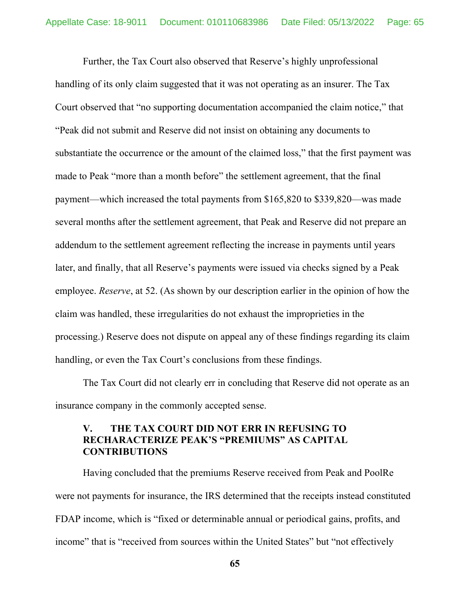Further, the Tax Court also observed that Reserve's highly unprofessional handling of its only claim suggested that it was not operating as an insurer. The Tax Court observed that "no supporting documentation accompanied the claim notice," that "Peak did not submit and Reserve did not insist on obtaining any documents to substantiate the occurrence or the amount of the claimed loss," that the first payment was made to Peak "more than a month before" the settlement agreement, that the final payment—which increased the total payments from \$165,820 to \$339,820—was made several months after the settlement agreement, that Peak and Reserve did not prepare an addendum to the settlement agreement reflecting the increase in payments until years later, and finally, that all Reserve's payments were issued via checks signed by a Peak employee. *Reserve*, at 52. (As shown by our description earlier in the opinion of how the claim was handled, these irregularities do not exhaust the improprieties in the processing.) Reserve does not dispute on appeal any of these findings regarding its claim handling, or even the Tax Court's conclusions from these findings.

The Tax Court did not clearly err in concluding that Reserve did not operate as an insurance company in the commonly accepted sense.

## **V. THE TAX COURT DID NOT ERR IN REFUSING TO RECHARACTERIZE PEAK'S "PREMIUMS" AS CAPITAL CONTRIBUTIONS**

Having concluded that the premiums Reserve received from Peak and PoolRe were not payments for insurance, the IRS determined that the receipts instead constituted FDAP income, which is "fixed or determinable annual or periodical gains, profits, and income" that is "received from sources within the United States" but "not effectively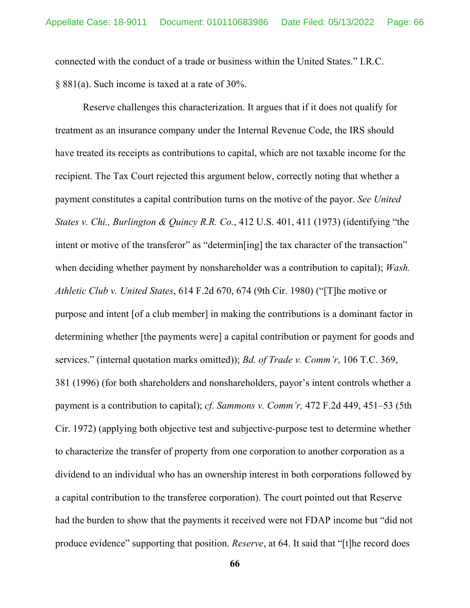connected with the conduct of a trade or business within the United States." I.R.C. § 881(a). Such income is taxed at a rate of 30%.

Reserve challenges this characterization. It argues that if it does not qualify for treatment as an insurance company under the Internal Revenue Code, the IRS should have treated its receipts as contributions to capital, which are not taxable income for the recipient. The Tax Court rejected this argument below, correctly noting that whether a payment constitutes a capital contribution turns on the motive of the payor. *See United States v. Chi., Burlington & Quincy R.R. Co.*, 412 U.S. 401, 411 (1973) (identifying "the intent or motive of the transferor" as "determin [ing] the tax character of the transaction" when deciding whether payment by nonshareholder was a contribution to capital); *Wash. Athletic Club v. United States*, 614 F.2d 670, 674 (9th Cir. 1980) ("[T]he motive or purpose and intent [of a club member] in making the contributions is a dominant factor in determining whether [the payments were] a capital contribution or payment for goods and services." (internal quotation marks omitted)); *Bd. of Trade v. Comm'r*, 106 T.C. 369, 381 (1996) (for both shareholders and nonshareholders, payor's intent controls whether a payment is a contribution to capital); *cf. Sammons v. Comm'r,* 472 F.2d 449, 451–53 (5th Cir. 1972) (applying both objective test and subjective-purpose test to determine whether to characterize the transfer of property from one corporation to another corporation as a dividend to an individual who has an ownership interest in both corporations followed by a capital contribution to the transferee corporation). The court pointed out that Reserve had the burden to show that the payments it received were not FDAP income but "did not produce evidence" supporting that position. *Reserve*, at 64. It said that "[t]he record does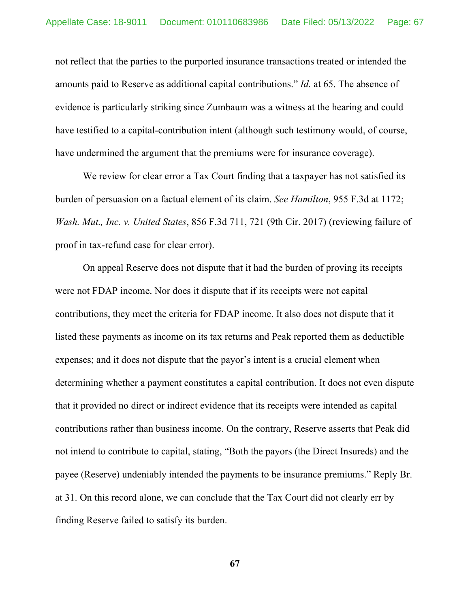not reflect that the parties to the purported insurance transactions treated or intended the amounts paid to Reserve as additional capital contributions." *Id.* at 65. The absence of evidence is particularly striking since Zumbaum was a witness at the hearing and could have testified to a capital-contribution intent (although such testimony would, of course, have undermined the argument that the premiums were for insurance coverage).

We review for clear error a Tax Court finding that a taxpayer has not satisfied its burden of persuasion on a factual element of its claim. *See Hamilton*, 955 F.3d at 1172; *Wash. Mut., Inc. v. United States*, 856 F.3d 711, 721 (9th Cir. 2017) (reviewing failure of proof in tax-refund case for clear error).

On appeal Reserve does not dispute that it had the burden of proving its receipts were not FDAP income. Nor does it dispute that if its receipts were not capital contributions, they meet the criteria for FDAP income. It also does not dispute that it listed these payments as income on its tax returns and Peak reported them as deductible expenses; and it does not dispute that the payor's intent is a crucial element when determining whether a payment constitutes a capital contribution. It does not even dispute that it provided no direct or indirect evidence that its receipts were intended as capital contributions rather than business income. On the contrary, Reserve asserts that Peak did not intend to contribute to capital, stating, "Both the payors (the Direct Insureds) and the payee (Reserve) undeniably intended the payments to be insurance premiums." Reply Br. at 31. On this record alone, we can conclude that the Tax Court did not clearly err by finding Reserve failed to satisfy its burden.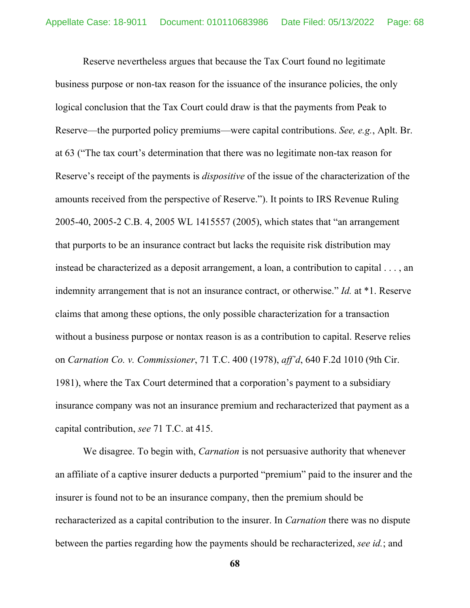Reserve nevertheless argues that because the Tax Court found no legitimate business purpose or non-tax reason for the issuance of the insurance policies, the only logical conclusion that the Tax Court could draw is that the payments from Peak to Reserve—the purported policy premiums—were capital contributions. *See, e.g.*, Aplt. Br. at 63 ("The tax court's determination that there was no legitimate non-tax reason for Reserve's receipt of the payments is *dispositive* of the issue of the characterization of the amounts received from the perspective of Reserve."). It points to IRS Revenue Ruling 2005-40, 2005-2 C.B. 4, 2005 WL 1415557 (2005), which states that "an arrangement that purports to be an insurance contract but lacks the requisite risk distribution may instead be characterized as a deposit arrangement, a loan, a contribution to capital . . . , an indemnity arrangement that is not an insurance contract, or otherwise." *Id.* at \*1. Reserve claims that among these options, the only possible characterization for a transaction without a business purpose or nontax reason is as a contribution to capital. Reserve relies on *Carnation Co. v. Commissioner*, 71 T.C. 400 (1978), *aff'd*, 640 F.2d 1010 (9th Cir. 1981), where the Tax Court determined that a corporation's payment to a subsidiary insurance company was not an insurance premium and recharacterized that payment as a capital contribution, *see* 71 T.C. at 415.

We disagree. To begin with, *Carnation* is not persuasive authority that whenever an affiliate of a captive insurer deducts a purported "premium" paid to the insurer and the insurer is found not to be an insurance company, then the premium should be recharacterized as a capital contribution to the insurer. In *Carnation* there was no dispute between the parties regarding how the payments should be recharacterized, *see id.*; and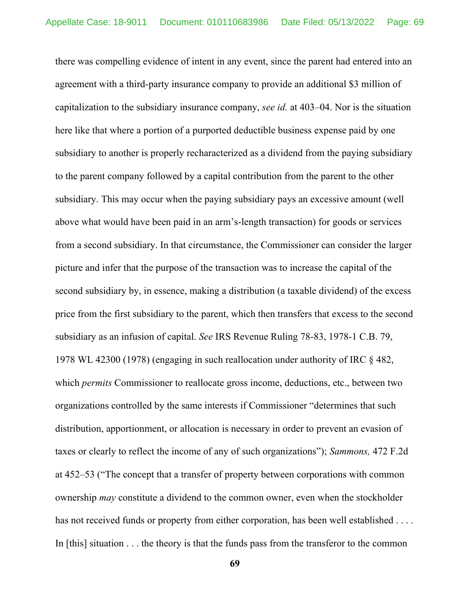there was compelling evidence of intent in any event, since the parent had entered into an agreement with a third-party insurance company to provide an additional \$3 million of capitalization to the subsidiary insurance company, *see id.* at 403–04. Nor is the situation here like that where a portion of a purported deductible business expense paid by one subsidiary to another is properly recharacterized as a dividend from the paying subsidiary to the parent company followed by a capital contribution from the parent to the other subsidiary. This may occur when the paying subsidiary pays an excessive amount (well above what would have been paid in an arm's-length transaction) for goods or services from a second subsidiary. In that circumstance, the Commissioner can consider the larger picture and infer that the purpose of the transaction was to increase the capital of the second subsidiary by, in essence, making a distribution (a taxable dividend) of the excess price from the first subsidiary to the parent, which then transfers that excess to the second subsidiary as an infusion of capital. *See* IRS Revenue Ruling 78-83, 1978-1 C.B. 79, 1978 WL 42300 (1978) (engaging in such reallocation under authority of IRC § 482, which *permits* Commissioner to reallocate gross income, deductions, etc., between two organizations controlled by the same interests if Commissioner "determines that such distribution, apportionment, or allocation is necessary in order to prevent an evasion of taxes or clearly to reflect the income of any of such organizations"); *Sammons,* 472 F.2d at 452–53 ("The concept that a transfer of property between corporations with common ownership *may* constitute a dividend to the common owner, even when the stockholder has not received funds or property from either corporation, has been well established .... In [this] situation . . . the theory is that the funds pass from the transferor to the common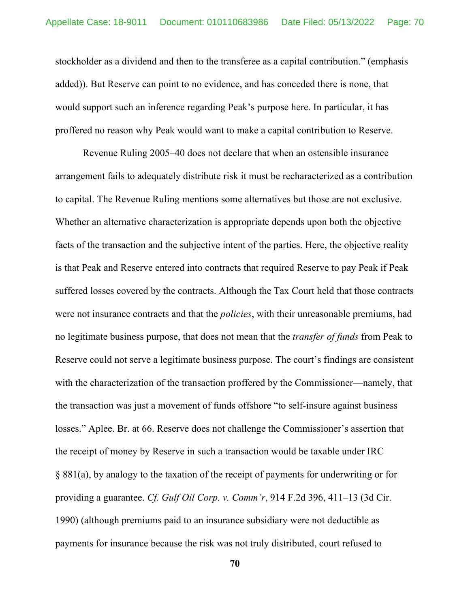stockholder as a dividend and then to the transferee as a capital contribution." (emphasis added)). But Reserve can point to no evidence, and has conceded there is none, that would support such an inference regarding Peak's purpose here. In particular, it has proffered no reason why Peak would want to make a capital contribution to Reserve.

Revenue Ruling 2005–40 does not declare that when an ostensible insurance arrangement fails to adequately distribute risk it must be recharacterized as a contribution to capital. The Revenue Ruling mentions some alternatives but those are not exclusive. Whether an alternative characterization is appropriate depends upon both the objective facts of the transaction and the subjective intent of the parties. Here, the objective reality is that Peak and Reserve entered into contracts that required Reserve to pay Peak if Peak suffered losses covered by the contracts. Although the Tax Court held that those contracts were not insurance contracts and that the *policies*, with their unreasonable premiums, had no legitimate business purpose, that does not mean that the *transfer of funds* from Peak to Reserve could not serve a legitimate business purpose. The court's findings are consistent with the characterization of the transaction proffered by the Commissioner—namely, that the transaction was just a movement of funds offshore "to self-insure against business losses." Aplee. Br. at 66. Reserve does not challenge the Commissioner's assertion that the receipt of money by Reserve in such a transaction would be taxable under IRC § 881(a), by analogy to the taxation of the receipt of payments for underwriting or for providing a guarantee. *Cf. Gulf Oil Corp. v. Comm'r*, 914 F.2d 396, 411–13 (3d Cir. 1990) (although premiums paid to an insurance subsidiary were not deductible as payments for insurance because the risk was not truly distributed, court refused to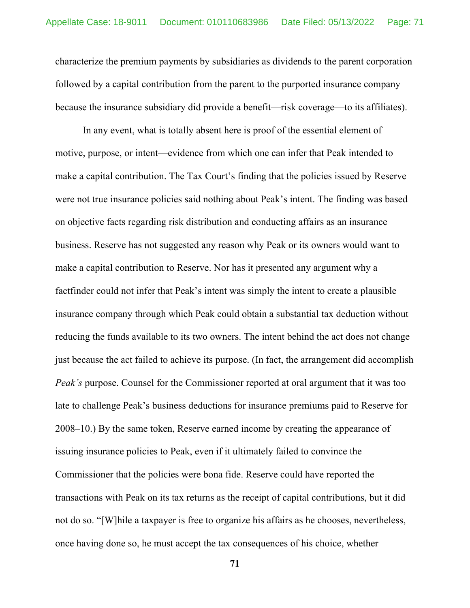characterize the premium payments by subsidiaries as dividends to the parent corporation followed by a capital contribution from the parent to the purported insurance company because the insurance subsidiary did provide a benefit—risk coverage—to its affiliates).

In any event, what is totally absent here is proof of the essential element of motive, purpose, or intent—evidence from which one can infer that Peak intended to make a capital contribution. The Tax Court's finding that the policies issued by Reserve were not true insurance policies said nothing about Peak's intent. The finding was based on objective facts regarding risk distribution and conducting affairs as an insurance business. Reserve has not suggested any reason why Peak or its owners would want to make a capital contribution to Reserve. Nor has it presented any argument why a factfinder could not infer that Peak's intent was simply the intent to create a plausible insurance company through which Peak could obtain a substantial tax deduction without reducing the funds available to its two owners. The intent behind the act does not change just because the act failed to achieve its purpose. (In fact, the arrangement did accomplish *Peak's* purpose. Counsel for the Commissioner reported at oral argument that it was too late to challenge Peak's business deductions for insurance premiums paid to Reserve for 2008–10.) By the same token, Reserve earned income by creating the appearance of issuing insurance policies to Peak, even if it ultimately failed to convince the Commissioner that the policies were bona fide. Reserve could have reported the transactions with Peak on its tax returns as the receipt of capital contributions, but it did not do so. "[W]hile a taxpayer is free to organize his affairs as he chooses, nevertheless, once having done so, he must accept the tax consequences of his choice, whether